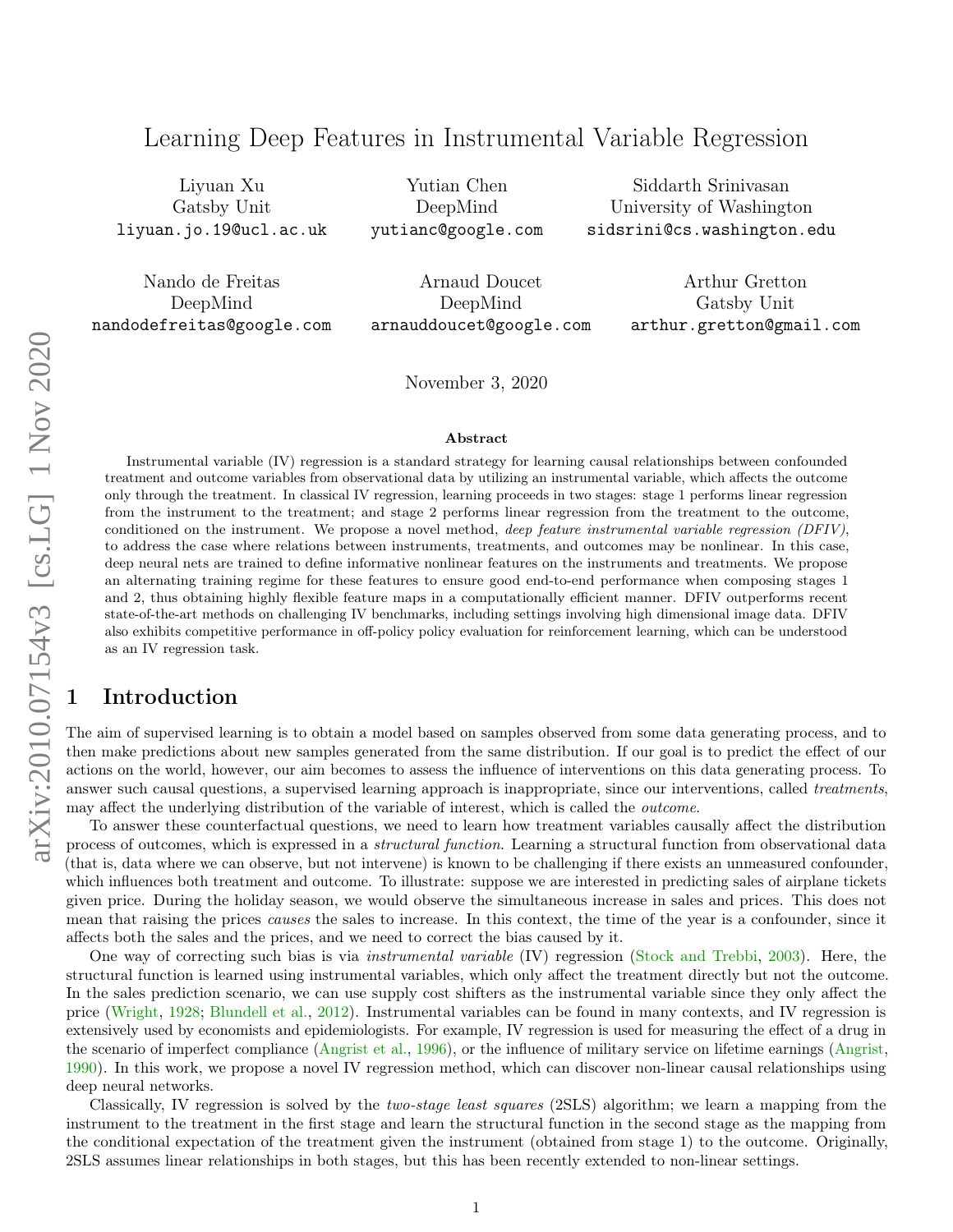# Learning Deep Features in Instrumental Variable Regression

Liyuan Xu Gatsby Unit liyuan.jo.19@ucl.ac.uk

Yutian Chen DeepMind yutianc@google.com

Siddarth Srinivasan University of Washington sidsrini@cs.washington.edu

Nando de Freitas DeepMind nandodefreitas@google.com

Arnaud Doucet DeepMind arnauddoucet@google.com

Arthur Gretton Gatsby Unit arthur.gretton@gmail.com

November 3, 2020

#### Abstract

Instrumental variable (IV) regression is a standard strategy for learning causal relationships between confounded treatment and outcome variables from observational data by utilizing an instrumental variable, which affects the outcome only through the treatment. In classical IV regression, learning proceeds in two stages: stage 1 performs linear regression from the instrument to the treatment; and stage 2 performs linear regression from the treatment to the outcome, conditioned on the instrument. We propose a novel method, deep feature instrumental variable regression  $(DFIV)$ , to address the case where relations between instruments, treatments, and outcomes may be nonlinear. In this case, deep neural nets are trained to define informative nonlinear features on the instruments and treatments. We propose an alternating training regime for these features to ensure good end-to-end performance when composing stages 1 and 2, thus obtaining highly flexible feature maps in a computationally efficient manner. DFIV outperforms recent state-of-the-art methods on challenging IV benchmarks, including settings involving high dimensional image data. DFIV also exhibits competitive performance in off-policy policy evaluation for reinforcement learning, which can be understood as an IV regression task.

### **Introduction**

The aim of supervised learning is to obtain a model based on samples observed from some data generating process, and to then make predictions about new samples generated from the same distribution. If our goal is to predict the effect of our actions on the world, however, our aim becomes to assess the influence of interventions on this data generating process. To answer such causal questions, a supervised learning approach is inappropriate, since our interventions, called *treatments*, may affect the underlying distribution of the variable of interest, which is called the *outcome*.

To answer these counterfactual questions, we need to learn how treatment variables causally affect the distribution process of outcomes, which is expressed in a *structural function*. Learning a structural function from observational data (that is, data where we can observe, but not intervene) is known to be challenging if there exists an unmeasured confounder, which influences both treatment and outcome. To illustrate: suppose we are interested in predicting sales of airplane tickets given price. During the holiday season, we would observe the simultaneous increase in sales and prices. This does not mean that raising the prices causes the sales to increase. In this context, the time of the year is a confounder, since it affects both the sales and the prices, and we need to correct the bias caused by it.

One way of correcting such bias is via instrumental variable (IV) regression [\(Stock and Trebbi,](#page-8-0) [2003\)](#page-8-0). Here, the structural function is learned using instrumental variables, which only affect the treatment directly but not the outcome. In the sales prediction scenario, we can use supply cost shifters as the instrumental variable since they only affect the price [\(Wright,](#page-8-1) [1928;](#page-8-1) [Blundell et al.,](#page-7-0) [2012\)](#page-7-0). Instrumental variables can be found in many contexts, and IV regression is extensively used by economists and epidemiologists. For example, IV regression is used for measuring the effect of a drug in the scenario of imperfect compliance [\(Angrist et al.,](#page-7-1) [1996\)](#page-7-1), or the influence of military service on lifetime earnings [\(Angrist,](#page-6-0) [1990\)](#page-6-0). In this work, we propose a novel IV regression method, which can discover non-linear causal relationships using deep neural networks.

Classically, IV regression is solved by the two-stage least squares (2SLS) algorithm; we learn a mapping from the instrument to the treatment in the first stage and learn the structural function in the second stage as the mapping from the conditional expectation of the treatment given the instrument (obtained from stage 1) to the outcome. Originally, 2SLS assumes linear relationships in both stages, but this has been recently extended to non-linear settings.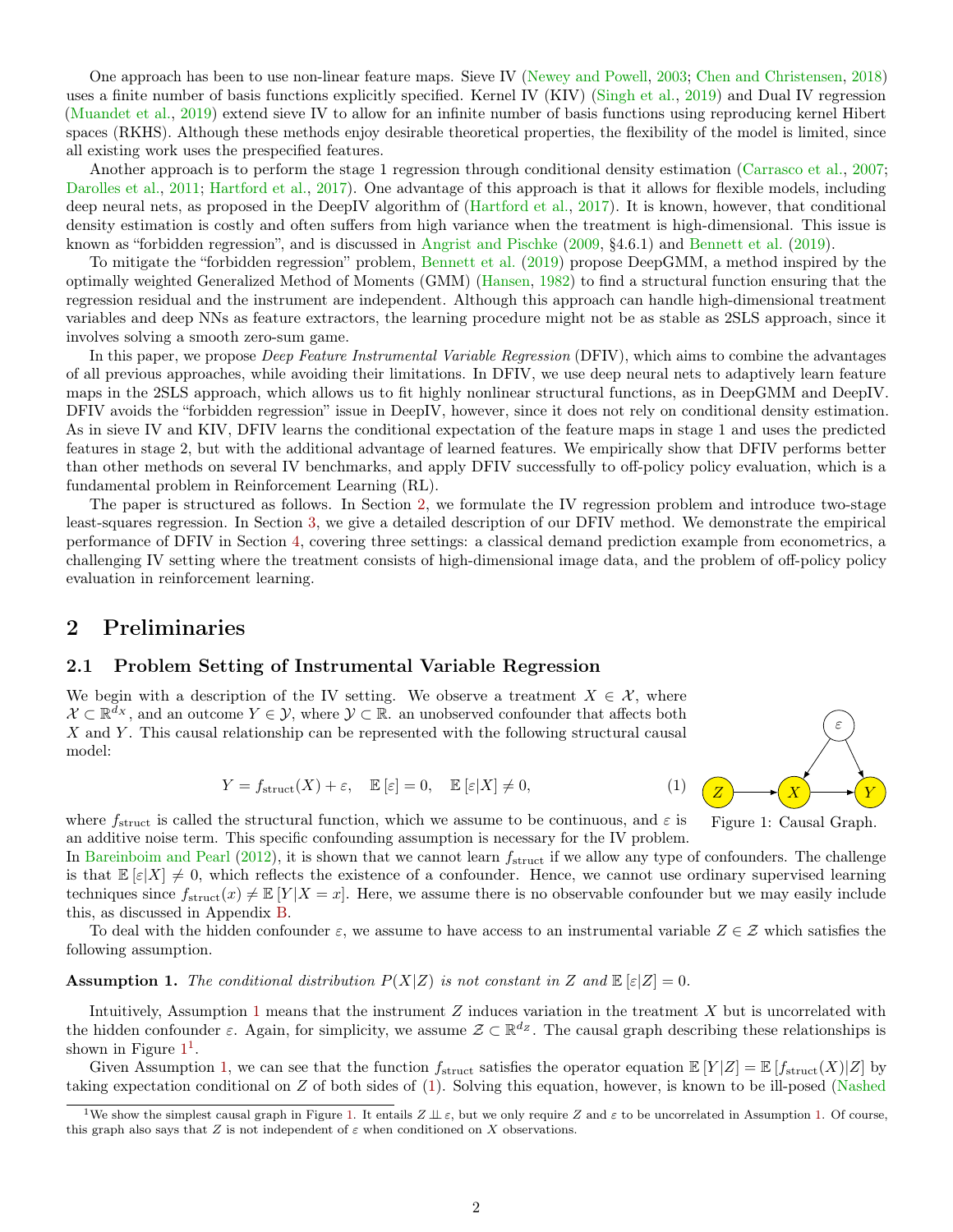One approach has been to use non-linear feature maps. Sieve IV [\(Newey and Powell,](#page-7-2) [2003;](#page-7-2) [Chen and Christensen,](#page-7-3) [2018\)](#page-7-3) uses a finite number of basis functions explicitly specified. Kernel IV (KIV) [\(Singh et al.,](#page-8-2) [2019\)](#page-8-2) and Dual IV regression [\(Muandet et al.,](#page-7-4) [2019\)](#page-7-4) extend sieve IV to allow for an infinite number of basis functions using reproducing kernel Hibert spaces (RKHS). Although these methods enjoy desirable theoretical properties, the flexibility of the model is limited, since all existing work uses the prespecified features.

Another approach is to perform the stage 1 regression through conditional density estimation [\(Carrasco et al.,](#page-7-5) [2007;](#page-7-5) [Darolles et al.,](#page-7-6) [2011;](#page-7-6) [Hartford et al.,](#page-7-7) [2017\)](#page-7-7). One advantage of this approach is that it allows for flexible models, including deep neural nets, as proposed in the DeepIV algorithm of [\(Hartford et al.,](#page-7-7) [2017\)](#page-7-7). It is known, however, that conditional density estimation is costly and often suffers from high variance when the treatment is high-dimensional. This issue is known as "forbidden regression", and is discussed in [Angrist and Pischke](#page-7-8) [\(2009,](#page-7-8) §4.6.1) and [Bennett et al.](#page-7-9) [\(2019\)](#page-7-9).

To mitigate the "forbidden regression" problem, [Bennett et al.](#page-7-9) [\(2019\)](#page-7-9) propose DeepGMM, a method inspired by the optimally weighted Generalized Method of Moments (GMM) [\(Hansen,](#page-7-10) [1982\)](#page-7-10) to find a structural function ensuring that the regression residual and the instrument are independent. Although this approach can handle high-dimensional treatment variables and deep NNs as feature extractors, the learning procedure might not be as stable as 2SLS approach, since it involves solving a smooth zero-sum game.

In this paper, we propose *Deep Feature Instrumental Variable Regression* (DFIV), which aims to combine the advantages of all previous approaches, while avoiding their limitations. In DFIV, we use deep neural nets to adaptively learn feature maps in the 2SLS approach, which allows us to fit highly nonlinear structural functions, as in DeepGMM and DeepIV. DFIV avoids the "forbidden regression" issue in DeepIV, however, since it does not rely on conditional density estimation. As in sieve IV and KIV, DFIV learns the conditional expectation of the feature maps in stage 1 and uses the predicted features in stage 2, but with the additional advantage of learned features. We empirically show that DFIV performs better than other methods on several IV benchmarks, and apply DFIV successfully to off-policy policy evaluation, which is a fundamental problem in Reinforcement Learning (RL).

The paper is structured as follows. In Section [2,](#page-1-0) we formulate the IV regression problem and introduce two-stage least-squares regression. In Section [3,](#page-2-0) we give a detailed description of our DFIV method. We demonstrate the empirical performance of DFIV in Section [4,](#page-4-0) covering three settings: a classical demand prediction example from econometrics, a challenging IV setting where the treatment consists of high-dimensional image data, and the problem of off-policy policy evaluation in reinforcement learning.

### <span id="page-1-0"></span>2 Preliminaries

#### 2.1 Problem Setting of Instrumental Variable Regression

We begin with a description of the IV setting. We observe a treatment  $X \in \mathcal{X}$ , where  $\mathcal{X} \subset \mathbb{R}^{\bar{d}_X}$ , and an outcome  $Y \in \mathcal{Y}$ , where  $\mathcal{Y} \subset \mathbb{R}$ . an unobserved confounder that affects both  $X$  and  $Y$ . This causal relationship can be represented with the following structural causal model:

$$
Y = f_{\text{struct}}(X) + \varepsilon, \quad \mathbb{E}\left[\varepsilon\right] = 0, \quad \mathbb{E}\left[\varepsilon|X\right] \neq 0,\tag{1}
$$

<span id="page-1-4"></span><span id="page-1-2"></span>

where  $f_{\text{struct}}$  is called the structural function, which we assume to be continuous, and  $\varepsilon$  is an additive noise term. This specific confounding assumption is necessary for the IV problem.

In [Bareinboim and Pearl](#page-7-11)  $(2012)$ , it is shown that we cannot learn  $f_{\text{struct}}$  if we allow any type of confounders. The challenge is that  $\mathbb{E}[\varepsilon|X] \neq 0$ , which reflects the existence of a confounder. Hence, we cannot use ordinary supervised learning techniques since  $f_{struct}(x) \neq \mathbb{E}[Y|X=x]$ . Here, we assume there is no observable confounder but we may easily include this, as discussed in Appendix [B.](#page-9-0)

To deal with the hidden confounder  $\varepsilon$ , we assume to have access to an instrumental variable  $Z \in \mathcal{Z}$  which satisfies the following assumption.

<span id="page-1-1"></span>**Assumption 1.** The conditional distribution  $P(X|Z)$  is not constant in Z and  $\mathbb{E}[\varepsilon|Z] = 0$ .

Intuitively, Assumption [1](#page-1-1) means that the instrument Z induces variation in the treatment X but is uncorrelated with the hidden confounder  $\varepsilon$ . Again, for simplicity, we assume  $\mathcal{Z} \subset \mathbb{R}^{d_Z}$ . The causal graph describing these relationships is shown in Figure  $1<sup>1</sup>$  $1<sup>1</sup>$ .

Given Assumption [1,](#page-1-1) we can see that the function  $f_{struct}$  satisfies the operator equation  $\mathbb{E}[Y|Z] = \mathbb{E}[f_{struct}(X)|Z]$  by taking expectation conditional on Z of both sides of [\(1\)](#page-1-4). Solving this equation, however, is known to be ill-posed [\(Nashed](#page-7-12)

<span id="page-1-3"></span><sup>&</sup>lt;sup>1</sup>[We show the simplest causal graph in Figure](#page-7-12) [1.](#page-1-1) It entails  $Z \perp z$ , but we only require Z and  $\varepsilon$  to be uncorrelated in Assumption 1. Of course, [this graph also says that](#page-7-12) Z is not independent of  $\varepsilon$  when conditioned on X observations.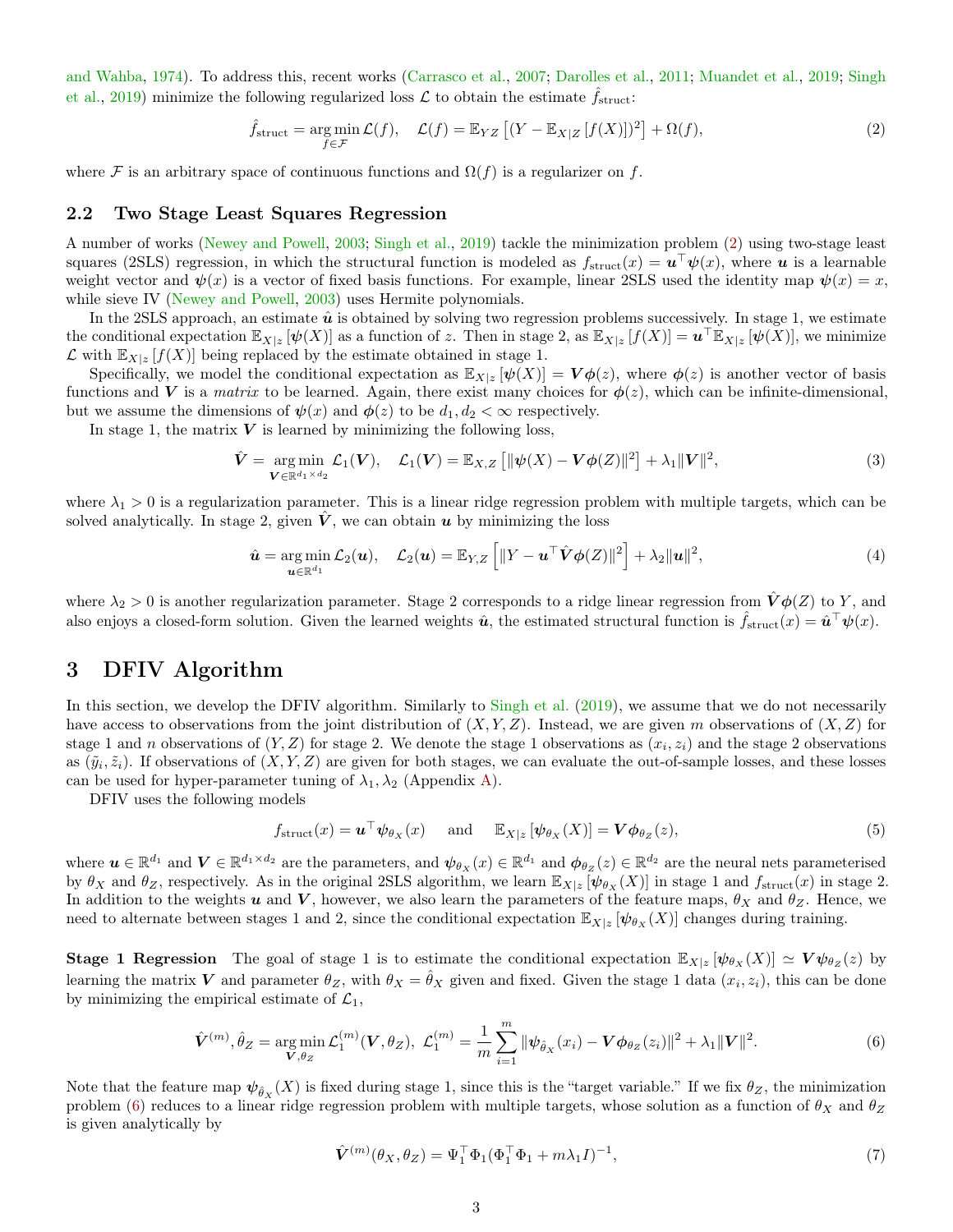[and Wahba,](#page-7-12) [1974\)](#page-7-12). To address this, recent works [\(Carrasco et al.,](#page-7-5) [2007;](#page-7-5) [Darolles et al.,](#page-7-6) [2011;](#page-7-6) [Muandet et al.,](#page-7-4) [2019;](#page-7-4) [Singh](#page-8-2) [et al.,](#page-8-2) [2019\)](#page-8-2) minimize the following regularized loss  $\mathcal L$  to obtain the estimate  $f_{\text{struct}}$ :

<span id="page-2-1"></span>
$$
\hat{f}_{\text{struct}} = \underset{f \in \mathcal{F}}{\text{arg min}} \mathcal{L}(f), \quad \mathcal{L}(f) = \mathbb{E}_{YZ} \left[ (Y - \mathbb{E}_{X|Z} \left[ f(X) \right])^2 \right] + \Omega(f), \tag{2}
$$

where F is an arbitrary space of continuous functions and  $\Omega(f)$  is a regularizer on f.

### 2.2 Two Stage Least Squares Regression

A number of works [\(Newey and Powell,](#page-7-2) [2003;](#page-7-2) [Singh et al.,](#page-8-2) [2019\)](#page-8-2) tackle the minimization problem [\(2\)](#page-2-1) using two-stage least squares (2SLS) regression, in which the structural function is modeled as  $f_{struct}(x) = \boldsymbol{u}^\top \boldsymbol{\psi}(x)$ , where  $\boldsymbol{u}$  is a learnable weight vector and  $\psi(x)$  is a vector of fixed basis functions. For example, linear 2SLS used the identity map  $\psi(x) = x$ , while sieve IV [\(Newey and Powell,](#page-7-2) [2003\)](#page-7-2) uses Hermite polynomials.

In the 2SLS approach, an estimate  $\hat{u}$  is obtained by solving two regression problems successively. In stage 1, we estimate the conditional expectation  $\mathbb{E}_{X|z} [\psi(X)]$  as a function of z. Then in stage 2, as  $\mathbb{E}_{X|z} [f(X)] = \mathbf{u}^\top \mathbb{E}_{X|z} [\psi(X)]$ , we minimize  $\mathcal L$  with  $\mathbb E_{X|z}$   $[f(X)]$  being replaced by the estimate obtained in stage 1.

Specifically, we model the conditional expectation as  $\mathbb{E}_{X|z} [\psi(X)] = V\phi(z)$ , where  $\phi(z)$  is another vector of basis functions and V is a matrix to be learned. Again, there exist many choices for  $\phi(z)$ , which can be infinite-dimensional, but we assume the dimensions of  $\psi(x)$  and  $\phi(z)$  to be  $d_1, d_2 < \infty$  respectively.

In stage 1, the matrix  $V$  is learned by minimizing the following loss.

$$
\hat{\mathbf{V}} = \underset{\mathbf{V} \in \mathbb{R}^{d_1 \times d_2}}{\arg \min} \mathcal{L}_1(\mathbf{V}), \quad \mathcal{L}_1(\mathbf{V}) = \mathbb{E}_{X,Z} \left[ \|\psi(X) - \mathbf{V}\phi(Z)\|^2 \right] + \lambda_1 \|\mathbf{V}\|^2, \tag{3}
$$

where  $\lambda_1 > 0$  is a regularization parameter. This is a linear ridge regression problem with multiple targets, which can be solved analytically. In stage 2, given  $\hat{V}$ , we can obtain  $u$  by minimizing the loss

$$
\hat{\mathbf{u}} = \underset{\mathbf{u} \in \mathbb{R}^{d_1}}{\arg \min} \mathcal{L}_2(\mathbf{u}), \quad \mathcal{L}_2(\mathbf{u}) = \mathbb{E}_{Y,Z} \left[ \|Y - \mathbf{u}^\top \hat{\mathbf{V}} \phi(Z)\|^2 \right] + \lambda_2 \|\mathbf{u}\|^2, \tag{4}
$$

where  $\lambda_2 > 0$  is another regularization parameter. Stage 2 corresponds to a ridge linear regression from  $\hat{V}\phi(Z)$  to Y, and also enjoys a closed-form solution. Given the learned weights  $\hat{u}$ , the estimated structural function is  $\hat{f}_{struct}(x) = \hat{u}^{\top}\psi(x)$ .

## <span id="page-2-0"></span>3 DFIV Algorithm

In this section, we develop the DFIV algorithm. Similarly to [Singh et al.](#page-8-2) [\(2019\)](#page-8-2), we assume that we do not necessarily have access to observations from the joint distribution of  $(X, Y, Z)$ . Instead, we are given m observations of  $(X, Z)$  for stage 1 and *n* observations of  $(Y, Z)$  for stage 2. We denote the stage 1 observations as  $(x_i, z_i)$  and the stage 2 observations as  $(\tilde{y}_i, \tilde{z}_i)$ . If observations of  $(X, Y, Z)$  are given for both stages, we can evaluate the out-of-sample losses, and these losses can be used for hyper-parameter tuning of  $\lambda_1, \lambda_2$  (Appendix [A\)](#page-9-1).

DFIV uses the following models

$$
f_{\text{struct}}(x) = \boldsymbol{u}^{\top} \boldsymbol{\psi}_{\theta_X}(x) \quad \text{and} \quad \mathbb{E}_{X|z} \left[ \boldsymbol{\psi}_{\theta_X}(X) \right] = \boldsymbol{V} \boldsymbol{\phi}_{\theta_Z}(z), \tag{5}
$$

where  $u \in \mathbb{R}^{d_1}$  and  $V \in \mathbb{R}^{d_1 \times d_2}$  are the parameters, and  $\psi_{\theta_X}(x) \in \mathbb{R}^{d_1}$  and  $\phi_{\theta_Z}(z) \in \mathbb{R}^{d_2}$  are the neural nets parameterised by  $\theta_X$  and  $\theta_Z$ , respectively. As in the original 2SLS algorithm, we learn  $\mathbb{E}_{X|z}[\psi_{\theta_X}(X)]$  in stage 1 and  $f_{struct}(x)$  in stage 2. In addition to the weights u and V, however, we also learn the parameters of the feature maps,  $\theta_X$  and  $\theta_Z$ . Hence, we need to alternate between stages 1 and 2, since the conditional expectation  $\mathbb{E}_{X|z} [\psi_{\theta_X}(X)]$  changes during training.

**Stage 1 Regression** The goal of stage 1 is to estimate the conditional expectation  $\mathbb{E}_{X|z} [\psi_{\theta_X}(X)] \simeq V \psi_{\theta_Z}(z)$  by learning the matrix V and parameter  $\theta_Z$ , with  $\theta_X = \hat{\theta}_X$  given and fixed. Given the stage 1 data  $(x_i, z_i)$ , this can be done by minimizing the empirical estimate of  $\mathcal{L}_1$ ,

$$
\hat{\mathbf{V}}^{(m)}, \hat{\theta}_Z = \underset{\mathbf{V}, \theta_Z}{\arg \min} \mathcal{L}_1^{(m)}(\mathbf{V}, \theta_Z), \ \mathcal{L}_1^{(m)} = \frac{1}{m} \sum_{i=1}^m \|\psi_{\hat{\theta}_X}(x_i) - \mathbf{V} \phi_{\theta_Z}(z_i)\|^2 + \lambda_1 \|\mathbf{V}\|^2. \tag{6}
$$

Note that the feature map  $\psi_{\hat{\theta}_X}(X)$  is fixed during stage 1, since this is the "target variable." If we fix  $\theta_Z$ , the minimization problem [\(6\)](#page-2-2) reduces to a linear ridge regression problem with multiple targets, whose solution as a function of  $\theta_X$  and  $\theta_Z$ is given analytically by

<span id="page-2-3"></span><span id="page-2-2"></span>
$$
\hat{\mathbf{V}}^{(m)}(\theta_X, \theta_Z) = \Psi_1^\top \Phi_1 (\Phi_1^\top \Phi_1 + m\lambda_1 I)^{-1},\tag{7}
$$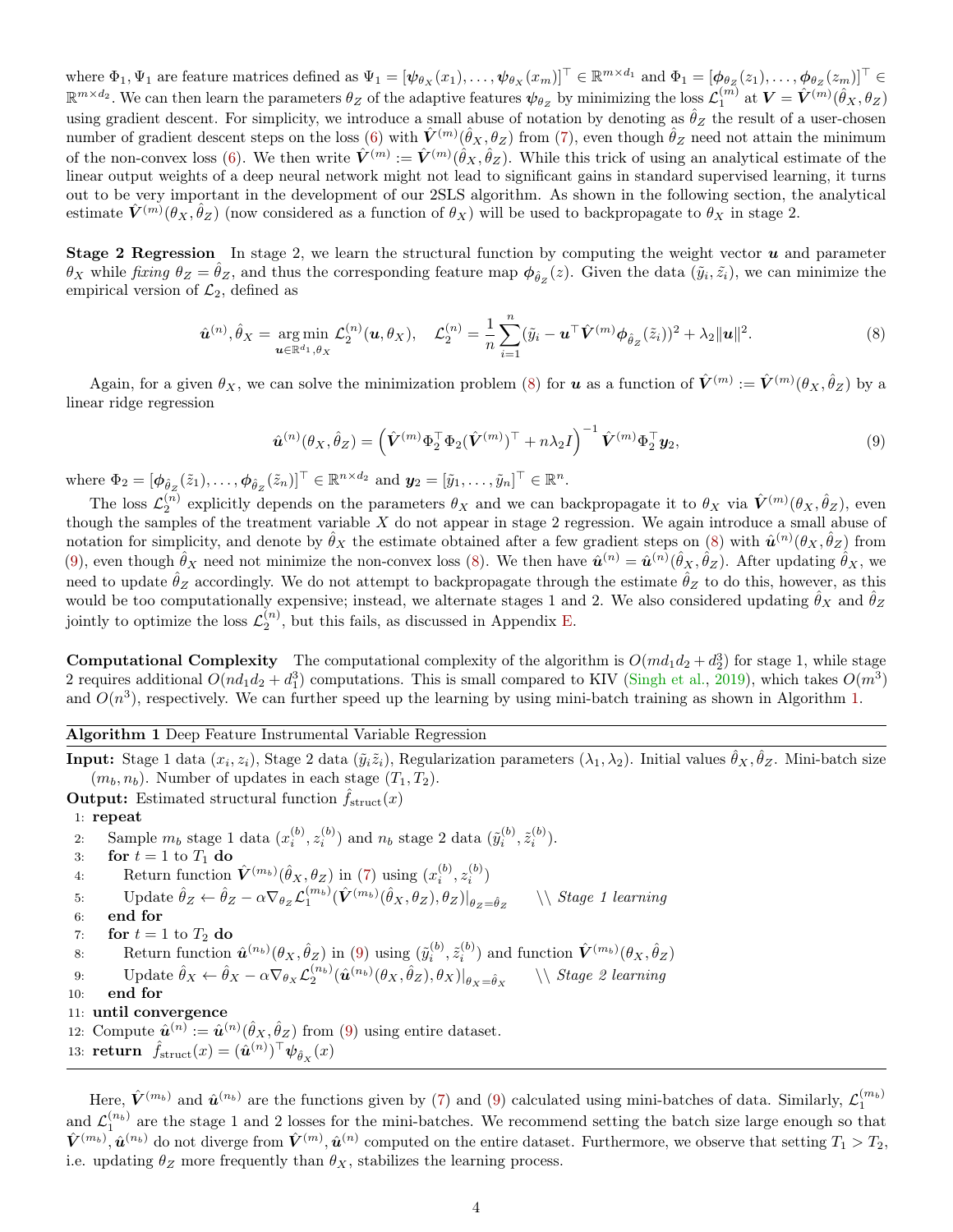where  $\Phi_1, \Psi_1$  are feature matrices defined as  $\Psi_1 = [\psi_{\theta_X}(x_1), \dots, \psi_{\theta_X}(x_m)]^\top \in \mathbb{R}^{m \times d_1}$  and  $\Phi_1 = [\phi_{\theta_Z}(z_1), \dots, \phi_{\theta_Z}(z_m)]^\top \in$  $\mathbb{R}^{m \times d_2}$ . We can then learn the parameters  $\theta_Z$  of the adaptive features  $\psi_{\theta_Z}$  by minimizing the loss  $\mathcal{L}_1^{(m)}$  at  $\bm{V} = \hat{\bm{V}}^{(m)}(\hat{\theta}_X, \theta_Z)$ using gradient descent. For simplicity, we introduce a small abuse of notation by denoting as  $\hat{\theta}_Z$  the result of a user-chosen number of gradient descent steps on the loss [\(6\)](#page-2-2) with  $\hat{V}^{(m)}(\hat{\theta}_X,\theta_Z)$  from [\(7\)](#page-2-3), even though  $\hat{\theta}_Z$  need not attain the minimum of the non-convex loss [\(6\)](#page-2-2). We then write  $\hat{V}^{(m)} := \hat{V}^{(m)}(\hat{\theta}_X, \hat{\theta}_Z)$ . While this trick of using an analytical estimate of the linear output weights of a deep neural network might not lead to significant gains in standard supervised learning, it turns out to be very important in the development of our 2SLS algorithm. As shown in the following section, the analytical estimate  $\hat{V}^{(m)}(\theta_X,\hat{\theta}_Z)$  (now considered as a function of  $\theta_X$ ) will be used to backpropagate to  $\theta_X$  in stage 2.

**Stage 2 Regression** In stage 2, we learn the structural function by computing the weight vector  $u$  and parameter  $\theta_X$  while fixing  $\theta_Z = \hat{\theta}_Z$ , and thus the corresponding feature map  $\phi_{\hat{\theta}_Z}(z)$ . Given the data  $(\tilde{y}_i, \tilde{z}_i)$ , we can minimize the empirical version of  $\mathcal{L}_2$ , defined as

$$
\hat{\boldsymbol{u}}^{(n)}, \hat{\theta}_X = \underset{\boldsymbol{u} \in \mathbb{R}^{d_1}, \theta_X}{\arg \min} \mathcal{L}_2^{(n)}(\boldsymbol{u}, \theta_X), \quad \mathcal{L}_2^{(n)} = \frac{1}{n} \sum_{i=1}^n (\tilde{y}_i - \boldsymbol{u}^\top \hat{\boldsymbol{V}}^{(m)} \boldsymbol{\phi}_{\hat{\theta}_Z}(\tilde{z}_i))^2 + \lambda_2 \|\boldsymbol{u}\|^2. \tag{8}
$$

Again, for a given  $\theta_X$ , we can solve the minimization problem [\(8\)](#page-3-0) for **u** as a function of  $\hat{\mathbf{V}}^{(m)} := \hat{\mathbf{V}}^{(m)}(\theta_X, \hat{\theta}_Z)$  by a linear ridge regression

<span id="page-3-1"></span><span id="page-3-0"></span>
$$
\hat{\boldsymbol{u}}^{(n)}(\theta_X, \hat{\theta}_Z) = \left(\hat{\boldsymbol{V}}^{(m)} \Phi_2^\top \Phi_2 (\hat{\boldsymbol{V}}^{(m)})^\top + n \lambda_2 I\right)^{-1} \hat{\boldsymbol{V}}^{(m)} \Phi_2^\top \boldsymbol{y}_2,\tag{9}
$$

where  $\Phi_2 = [\phi_{\hat{\theta}_Z}(\tilde{z}_1), \dots, \phi_{\hat{\theta}_Z}(\tilde{z}_n)]^\top \in \mathbb{R}^{n \times d_2}$  and  $\mathbf{y}_2 = [\tilde{y}_1, \dots, \tilde{y}_n]^\top \in \mathbb{R}^n$ .

The loss  $\mathcal{L}_2^{(n)}$  explicitly depends on the parameters  $\theta_X$  and we can backpropagate it to  $\theta_X$  via  $\hat{V}^{(m)}(\theta_X,\hat{\theta}_Z)$ , even though the samples of the treatment variable  $X$  do not appear in stage 2 regression. We again introduce a small abuse of notation for simplicity, and denote by  $\hat{\theta}_X$  the estimate obtained after a few gradient steps on [\(8\)](#page-3-0) with  $\hat{u}^{(n)}(\theta_X, \hat{\theta}_Z)$  from [\(9\)](#page-3-1), even though  $\hat{\theta}_X$  need not minimize the non-convex loss [\(8\)](#page-3-0). We then have  $\hat{\mathbf{u}}^{(n)} = \hat{\mathbf{u}}^{(n)}(\hat{\theta}_X, \hat{\theta}_Z)$ . After updating  $\hat{\theta}_X$ , we need to update  $\hat{\theta}_Z$  accordingly. We do not attempt to backpropagate through the estimate  $\hat{\theta}_Z$  to do this, however, as this would be too computationally expensive; instead, we alternate stages 1 and 2. We also considered updating  $\hat{\theta}_X$  and  $\hat{\theta}_Z$ jointly to optimize the loss  $\mathcal{L}_2^{(n)}$ , but this fails, as discussed in Appendix [E.](#page-12-0)

**Computational Complexity** The computational complexity of the algorithm is  $O(md_1d_2 + d_2^3)$  for stage 1, while stage 2 requires additional  $O(nd_1d_2 + d_1^3)$  computations. This is small compared to KIV [\(Singh et al.,](#page-8-2) [2019\)](#page-8-2), which takes  $O(m^3)$ and  $O(n^3)$ , respectively. We can further speed up the learning by using mini-batch training as shown in Algorithm [1.](#page-3-2)

#### Algorithm 1 Deep Feature Instrumental Variable Regression

<span id="page-3-2"></span>**Input:** Stage 1 data  $(x_i, z_i)$ , Stage 2 data  $(\tilde{y}_i \tilde{z}_i)$ , Regularization parameters  $(\lambda_1, \lambda_2)$ . Initial values  $\hat{\theta}_X, \hat{\theta}_Z$ . Mini-batch size  $(m_b, n_b)$ . Number of updates in each stage  $(T_1, T_2)$ .

**Output:** Estimated structural function  $f_{struct}(x)$ 

1: repeat

2: Sample  $m_b$  stage 1 data  $(x_i^{(b)}, z_i^{(b)})$  and  $n_b$  stage 2 data  $(\tilde{y}_i^{(b)}, \tilde{z}_i^{(b)})$ . 3: for  $t = 1$  to  $T_1$  do 4: Return function  $\hat{V}^{(m_b)}(\hat{\theta}_X, \theta_Z)$  in [\(7\)](#page-2-3) using  $(x_i^{(b)}, z_i^{(b)})$ 5: Update  $\hat{\theta}_Z \leftarrow \hat{\theta}_Z - \alpha \nabla_{\theta_Z} \mathcal{L}_1^{(m_b)}(\hat{\mathbf{V}}^{(m_b)}(\hat{\theta}_X, \theta_Z), \theta_Z)|_{\theta_Z = \hat{\theta}_Z}$  $\setminus$  Stage 1 learning 6: end for 7: for  $t = 1$  to  $T_2$  do 8: Return function  $\hat{\mathbf{u}}^{(n_b)}(\theta_X, \hat{\theta}_Z)$  in [\(9\)](#page-3-1) using  $(\tilde{y}_i^{(b)}, \tilde{z}_i^{(b)})$  and function  $\hat{V}^{(m_b)}(\theta_X, \hat{\theta}_Z)$ 9: Update  $\hat{\theta}_X \leftarrow \hat{\theta}_X - \alpha \nabla_{\theta_X} \mathcal{L}_2^{(n_b)}(\hat{\boldsymbol{u}}^{(n_b)}(\theta_X, \hat{\theta}_Z), \theta_X)|_{\theta_X = \hat{\theta}_X}$  $\setminus \$  Stage 2 learning 10: end for 11: until convergence 12: Compute  $\hat{\mathbf{u}}^{(n)} := \hat{\mathbf{u}}^{(n)}(\hat{\theta}_X, \hat{\theta}_Z)$  from [\(9\)](#page-3-1) using entire dataset. 13: **return**  $\hat{f}_{\text{struct}}(x) = (\hat{\boldsymbol{u}}^{(n)})^{\top} \boldsymbol{\psi}_{\hat{\theta}_X}(x)$ 

Here,  $\hat{V}^{(m_b)}$  and  $\hat{u}^{(n_b)}$  are the functions given by [\(7\)](#page-2-3) and [\(9\)](#page-3-1) calculated using mini-batches of data. Similarly,  $\mathcal{L}_1^{(m_b)}$ and  $\mathcal{L}_1^{(n_b)}$  are the stage 1 and 2 losses for the mini-batches. We recommend setting the batch size large enough so that  $\hat{V}^{(m_b)}$ ,  $\hat{u}^{(n_b)}$  do not diverge from  $\hat{V}^{(m)}$ ,  $\hat{u}^{(n)}$  computed on the entire dataset. Furthermore, we observe that setting  $T_1 > T_2$ , i.e. updating  $\theta_Z$  more frequently than  $\theta_X$ , stabilizes the learning process.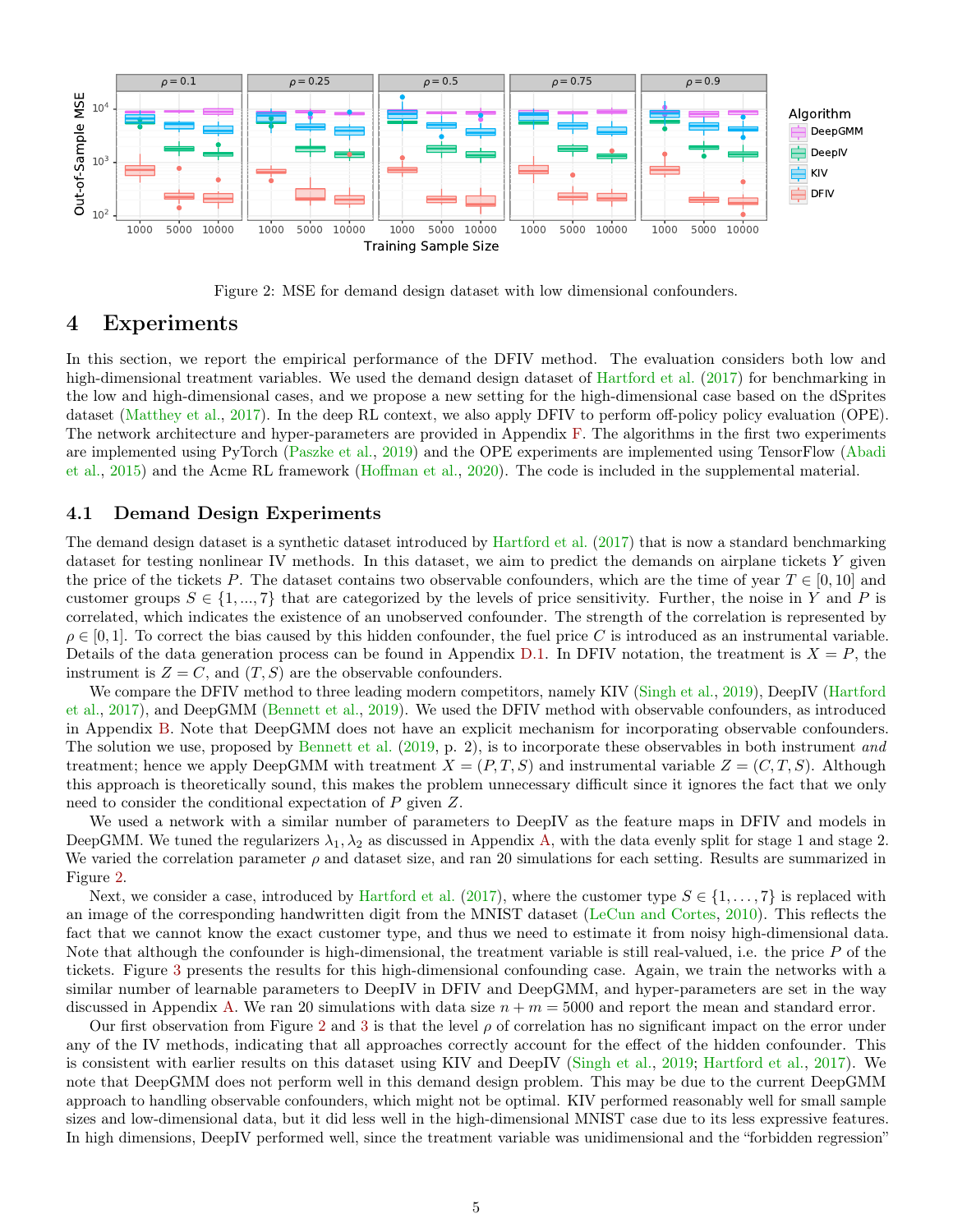

Figure 2: MSE for demand design dataset with low dimensional confounders.

### <span id="page-4-1"></span><span id="page-4-0"></span>4 Experiments

In this section, we report the empirical performance of the DFIV method. The evaluation considers both low and high-dimensional treatment variables. We used the demand design dataset of [Hartford et al.](#page-7-7) [\(2017\)](#page-7-7) for benchmarking in the low and high-dimensional cases, and we propose a new setting for the high-dimensional case based on the dSprites dataset [\(Matthey et al.,](#page-7-13) [2017\)](#page-7-13). In the deep RL context, we also apply DFIV to perform off-policy policy evaluation (OPE). The network architecture and hyper-parameters are provided in Appendix [F.](#page-13-0) The algorithms in the first two experiments are implemented using PyTorch [\(Paszke et al.,](#page-8-3) [2019\)](#page-8-3) and the OPE experiments are implemented using TensorFlow [\(Abadi](#page-6-1) [et al.,](#page-6-1) [2015\)](#page-6-1) and the Acme RL framework [\(Hoffman et al.,](#page-7-14) [2020\)](#page-7-14). The code is included in the supplemental material.

#### 4.1 Demand Design Experiments

The demand design dataset is a synthetic dataset introduced by [Hartford et al.](#page-7-7) [\(2017\)](#page-7-7) that is now a standard benchmarking dataset for testing nonlinear IV methods. In this dataset, we aim to predict the demands on airplane tickets Y given the price of the tickets P. The dataset contains two observable confounders, which are the time of year  $T \in [0, 10]$  and customer groups  $S \in \{1, ..., 7\}$  that are categorized by the levels of price sensitivity. Further, the noise in Y and P is correlated, which indicates the existence of an unobserved confounder. The strength of the correlation is represented by  $\rho \in [0, 1]$ . To correct the bias caused by this hidden confounder, the fuel price C is introduced as an instrumental variable. Details of the data generation process can be found in Appendix [D.1.](#page-11-0) In DFIV notation, the treatment is  $X = P$ , the instrument is  $Z = C$ , and  $(T, S)$  are the observable confounders.

We compare the DFIV method to three leading modern competitors, namely KIV [\(Singh et al.,](#page-8-2) [2019\)](#page-8-2), DeepIV [\(Hartford](#page-7-7) [et al.,](#page-7-7) [2017\)](#page-7-7), and DeepGMM [\(Bennett et al.,](#page-7-9) [2019\)](#page-7-9). We used the DFIV method with observable confounders, as introduced in Appendix [B.](#page-9-0) Note that DeepGMM does not have an explicit mechanism for incorporating observable confounders. The solution we use, proposed by [Bennett et al.](#page-7-9) [\(2019,](#page-7-9) p. 2), is to incorporate these observables in both instrument and treatment; hence we apply DeepGMM with treatment  $X = (P, T, S)$  and instrumental variable  $Z = (C, T, S)$ . Although this approach is theoretically sound, this makes the problem unnecessary difficult since it ignores the fact that we only need to consider the conditional expectation of P given Z.

We used a network with a similar number of parameters to DeepIV as the feature maps in DFIV and models in DeepGMM. We tuned the regularizers  $\lambda_1, \lambda_2$  as discussed in Appendix [A,](#page-9-1) with the data evenly split for stage 1 and stage 2. We varied the correlation parameter  $\rho$  and dataset size, and ran 20 simulations for each setting. Results are summarized in Figure [2.](#page-4-1)

Next, we consider a case, introduced by [Hartford et al.](#page-7-7) [\(2017\)](#page-7-7), where the customer type  $S \in \{1, \ldots, 7\}$  is replaced with an image of the corresponding handwritten digit from the MNIST dataset [\(LeCun and Cortes,](#page-7-15) [2010\)](#page-7-15). This reflects the fact that we cannot know the exact customer type, and thus we need to estimate it from noisy high-dimensional data. Note that although the confounder is high-dimensional, the treatment variable is still real-valued, i.e. the price P of the tickets. Figure [3](#page-5-0) presents the results for this high-dimensional confounding case. Again, we train the networks with a similar number of learnable parameters to DeepIV in DFIV and DeepGMM, and hyper-parameters are set in the way discussed in Appendix [A.](#page-9-1) We ran 20 simulations with data size  $n + m = 5000$  and report the mean and standard error.

Our first observation from Figure [2](#page-4-1) and [3](#page-5-0) is that the level  $\rho$  of correlation has no significant impact on the error under any of the IV methods, indicating that all approaches correctly account for the effect of the hidden confounder. This is consistent with earlier results on this dataset using KIV and DeepIV [\(Singh et al.,](#page-8-2) [2019;](#page-8-2) [Hartford et al.,](#page-7-7) [2017\)](#page-7-7). We note that DeepGMM does not perform well in this demand design problem. This may be due to the current DeepGMM approach to handling observable confounders, which might not be optimal. KIV performed reasonably well for small sample sizes and low-dimensional data, but it did less well in the high-dimensional MNIST case due to its less expressive features. In high dimensions, DeepIV performed well, since the treatment variable was unidimensional and the "forbidden regression"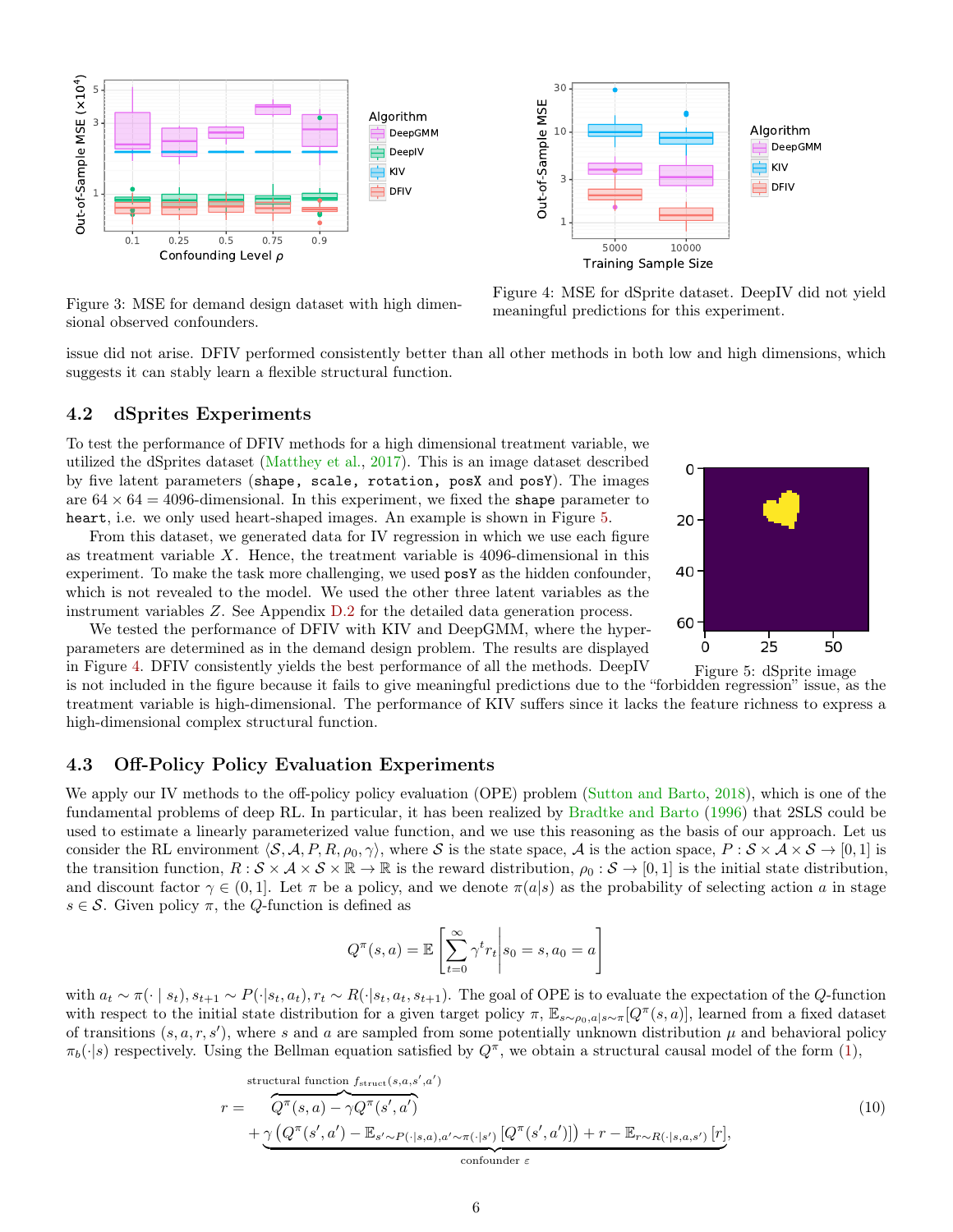

<span id="page-5-0"></span>Figure 3: MSE for demand design dataset with high dimensional observed confounders.



issue did not arise. DFIV performed consistently better than all other methods in both low and high dimensions, which suggests it can stably learn a flexible structural function.

#### 4.2 dSprites Experiments

To test the performance of DFIV methods for a high dimensional treatment variable, we utilized the dSprites dataset [\(Matthey et al.,](#page-7-13) [2017\)](#page-7-13). This is an image dataset described by five latent parameters (shape, scale, rotation, posX and posY). The images are  $64 \times 64 = 4096$ -dimensional. In this experiment, we fixed the shape parameter to heart, i.e. we only used heart-shaped images. An example is shown in Figure [5.](#page-5-1)

From this dataset, we generated data for IV regression in which we use each figure as treatment variable  $X$ . Hence, the treatment variable is 4096-dimensional in this experiment. To make the task more challenging, we used posY as the hidden confounder, which is not revealed to the model. We used the other three latent variables as the instrument variables Z. See Appendix [D.2](#page-11-1) for the detailed data generation process.

We tested the performance of DFIV with KIV and DeepGMM, where the hyperparameters are determined as in the demand design problem. The results are displayed in Figure [4.](#page-5-2) DFIV consistently yields the best performance of all the methods. DeepIV

is not included in the figure because it fails to give meaningful predictions due to the "forbidden regression" issue, as the treatment variable is high-dimensional. The performance of KIV suffers since it lacks the feature richness to express a high-dimensional complex structural function.

#### 4.3 Off-Policy Policy Evaluation Experiments

We apply our IV methods to the off-policy policy evaluation (OPE) problem [\(Sutton and Barto,](#page-8-4) [2018\)](#page-8-4), which is one of the fundamental problems of deep RL. In particular, it has been realized by [Bradtke and Barto](#page-7-16) [\(1996\)](#page-7-16) that 2SLS could be used to estimate a linearly parameterized value function, and we use this reasoning as the basis of our approach. Let us consider the RL environment  $\langle \mathcal{S}, \mathcal{A}, P, R, \rho_0, \gamma \rangle$ , where S is the state space, A is the action space,  $P : \mathcal{S} \times \mathcal{A} \times \mathcal{S} \rightarrow [0, 1]$  is the transition function,  $R : \mathcal{S} \times \mathcal{A} \times \mathcal{S} \times \mathbb{R} \to \mathbb{R}$  is the reward distribution,  $\rho_0 : \mathcal{S} \to [0,1]$  is the initial state distribution, and discount factor  $\gamma \in (0,1]$ . Let  $\pi$  be a policy, and we denote  $\pi(a|s)$  as the probability of selecting action a in stage  $s \in \mathcal{S}$ . Given policy  $\pi$ , the *Q*-function is defined as

<span id="page-5-3"></span>
$$
Q^{\pi}(s, a) = \mathbb{E}\left[\sum_{t=0}^{\infty} \gamma^{t} r_{t} \middle| s_{0} = s, a_{0} = a\right]
$$

with  $a_t \sim \pi(\cdot \mid s_t), s_{t+1} \sim P(\cdot \mid s_t, a_t), r_t \sim R(\cdot \mid s_t, a_t, s_{t+1})$ . The goal of OPE is to evaluate the expectation of the Q-function with respect to the initial state distribution for a given target policy  $\pi$ ,  $\mathbb{E}_{s\sim\rho_0,a|s\sim\pi}[Q^\pi(s,a)]$ , learned from a fixed dataset of transitions  $(s, a, r, s')$ , where s and a are sampled from some potentially unknown distribution  $\mu$  and behavioral policy  $\pi_b(\cdot|s)$  respectively. Using the Bellman equation satisfied by  $Q^{\pi}$ , we obtain a structural causal model of the form [\(1\)](#page-1-4),

$$
r = \overbrace{Q^{\pi}(s,a) - \gamma Q^{\pi}(s',a')}^{i}
$$
\n
$$
r = \overbrace{Q^{\pi}(s,a) - \gamma Q^{\pi}(s',a')}^{i}
$$
\n
$$
+ \underbrace{\gamma (Q^{\pi}(s',a') - \mathbb{E}_{s' \sim P(\cdot|s,a),a' \sim \pi(\cdot|s')}[Q^{\pi}(s',a')])}_{\text{confourder } \varepsilon} + \underbrace{\gamma (Q^{\pi}(s',a'))}_{\text{confourder } \varepsilon} \tag{10}
$$

<span id="page-5-2"></span><span id="page-5-1"></span>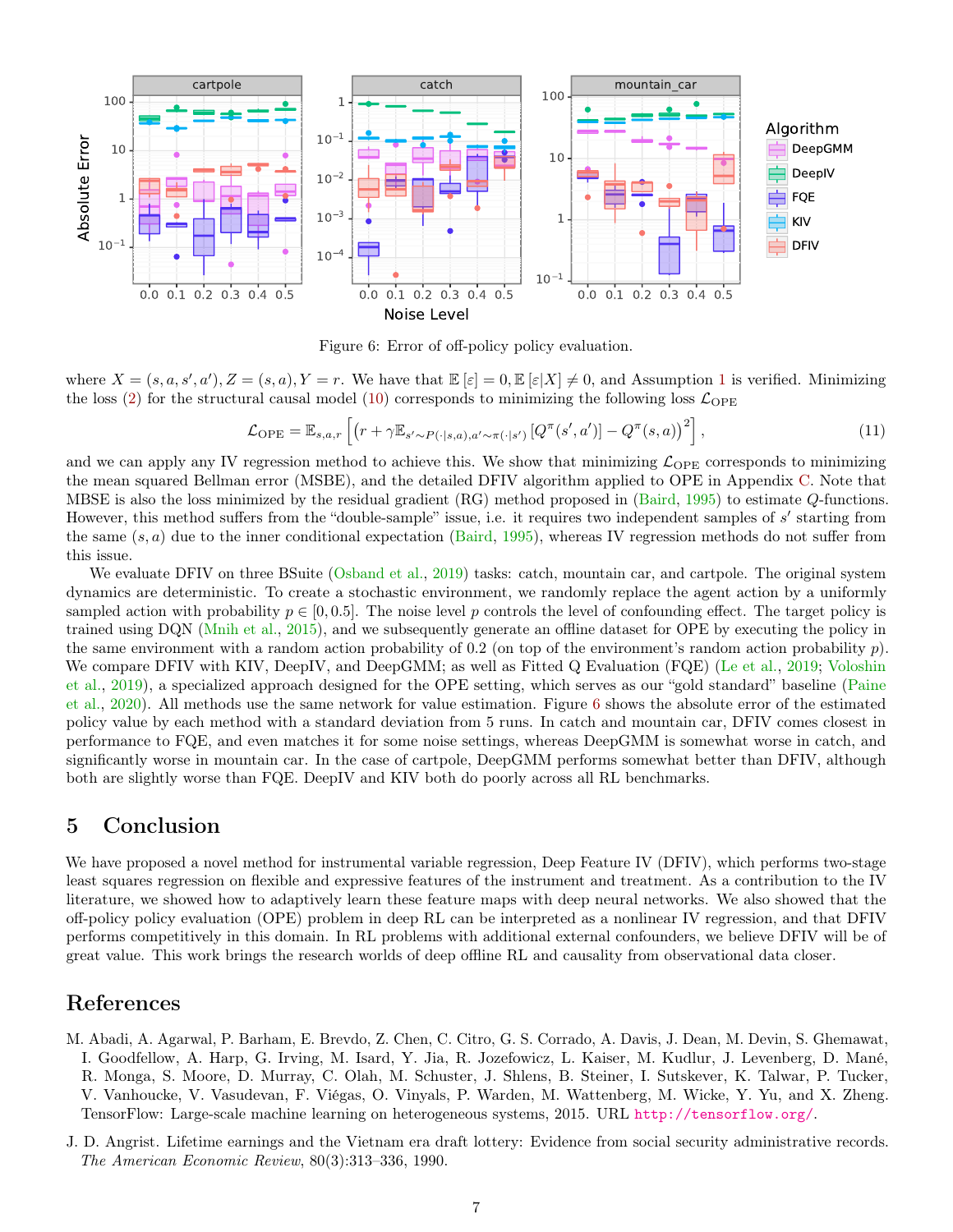

<span id="page-6-3"></span><span id="page-6-2"></span>Figure 6: Error of off-policy policy evaluation.

where  $X = (s, a, s', a'), Z = (s, a), Y = r$ . We have that  $\mathbb{E}[\varepsilon] = 0, \mathbb{E}[\varepsilon|X] \neq 0$ , and Assumption [1](#page-1-1) is verified. Minimizing the loss [\(2\)](#page-2-1) for the structural causal model [\(10\)](#page-5-3) corresponds to minimizing the following loss  $\mathcal{L}_{\text{OPE}}$ 

$$
\mathcal{L}_{\text{OPE}} = \mathbb{E}_{s,a,r} \left[ \left( r + \gamma \mathbb{E}_{s' \sim P(\cdot|s,a), a' \sim \pi(\cdot|s')} \left[ Q^{\pi}(s',a') \right] - Q^{\pi}(s,a) \right)^2 \right], \tag{11}
$$

and we can apply any IV regression method to achieve this. We show that minimizing  $\mathcal{L}_{\text{OPE}}$  corresponds to minimizing the mean squared Bellman error (MSBE), and the detailed DFIV algorithm applied to OPE in Appendix [C.](#page-10-0) Note that MBSE is also the loss minimized by the residual gradient (RG) method proposed in [\(Baird,](#page-7-17) [1995\)](#page-7-17) to estimate Q-functions. However, this method suffers from the "double-sample" issue, i.e. it requires two independent samples of s' starting from the same  $(s, a)$  due to the inner conditional expectation [\(Baird,](#page-7-17) [1995\)](#page-7-17), whereas IV regression methods do not suffer from this issue.

We evaluate DFIV on three BSuite [\(Osband et al.,](#page-7-18) [2019\)](#page-7-18) tasks: catch, mountain car, and cartpole. The original system dynamics are deterministic. To create a stochastic environment, we randomly replace the agent action by a uniformly sampled action with probability  $p \in [0, 0.5]$ . The noise level p controls the level of confounding effect. The target policy is trained using DQN [\(Mnih et al.,](#page-7-19) [2015\)](#page-7-19), and we subsequently generate an offline dataset for OPE by executing the policy in the same environment with a random action probability of 0.2 (on top of the environment's random action probability  $p$ ). We compare DFIV with KIV, DeepIV, and DeepGMM; as well as Fitted Q Evaluation (FQE) [\(Le et al.,](#page-7-20) [2019;](#page-7-20) [Voloshin](#page-8-5) [et al.,](#page-8-5) [2019\)](#page-8-5), a specialized approach designed for the OPE setting, which serves as our "gold standard" baseline [\(Paine](#page-8-6) [et al.,](#page-8-6) [2020\)](#page-8-6). All methods use the same network for value estimation. Figure [6](#page-6-2) shows the absolute error of the estimated policy value by each method with a standard deviation from 5 runs. In catch and mountain car, DFIV comes closest in performance to FQE, and even matches it for some noise settings, whereas DeepGMM is somewhat worse in catch, and significantly worse in mountain car. In the case of cartpole, DeepGMM performs somewhat better than DFIV, although both are slightly worse than FQE. DeepIV and KIV both do poorly across all RL benchmarks.

## 5 Conclusion

We have proposed a novel method for instrumental variable regression, Deep Feature IV (DFIV), which performs two-stage least squares regression on flexible and expressive features of the instrument and treatment. As a contribution to the IV literature, we showed how to adaptively learn these feature maps with deep neural networks. We also showed that the off-policy policy evaluation (OPE) problem in deep RL can be interpreted as a nonlinear IV regression, and that DFIV performs competitively in this domain. In RL problems with additional external confounders, we believe DFIV will be of great value. This work brings the research worlds of deep offline RL and causality from observational data closer.

## References

- <span id="page-6-1"></span>M. Abadi, A. Agarwal, P. Barham, E. Brevdo, Z. Chen, C. Citro, G. S. Corrado, A. Davis, J. Dean, M. Devin, S. Ghemawat, I. Goodfellow, A. Harp, G. Irving, M. Isard, Y. Jia, R. Jozefowicz, L. Kaiser, M. Kudlur, J. Levenberg, D. Mané, R. Monga, S. Moore, D. Murray, C. Olah, M. Schuster, J. Shlens, B. Steiner, I. Sutskever, K. Talwar, P. Tucker, V. Vanhoucke, V. Vasudevan, F. Viégas, O. Vinyals, P. Warden, M. Wattenberg, M. Wicke, Y. Yu, and X. Zheng. TensorFlow: Large-scale machine learning on heterogeneous systems, 2015. URL <http://tensorflow.org/>.
- <span id="page-6-0"></span>J. D. Angrist. Lifetime earnings and the Vietnam era draft lottery: Evidence from social security administrative records. The American Economic Review, 80(3):313–336, 1990.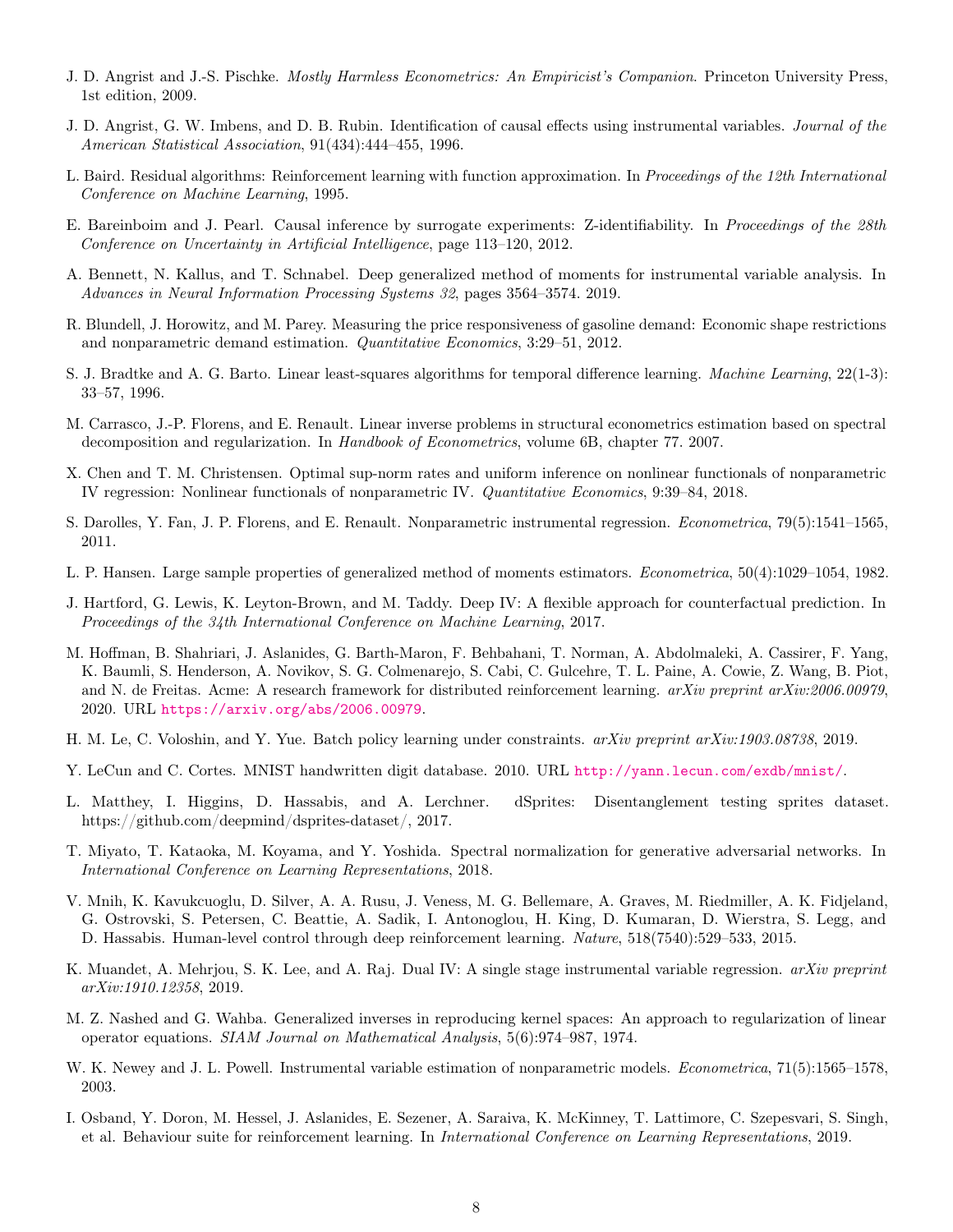- <span id="page-7-8"></span>J. D. Angrist and J.-S. Pischke. *Mostly Harmless Econometrics: An Empiricist's Companion*. Princeton University Press, 1st edition, 2009.
- <span id="page-7-1"></span>J. D. Angrist, G. W. Imbens, and D. B. Rubin. Identification of causal effects using instrumental variables. Journal of the American Statistical Association, 91(434):444–455, 1996.
- <span id="page-7-17"></span>L. Baird. Residual algorithms: Reinforcement learning with function approximation. In Proceedings of the 12th International Conference on Machine Learning, 1995.
- <span id="page-7-11"></span>E. Bareinboim and J. Pearl. Causal inference by surrogate experiments: Z-identifiability. In Proceedings of the 28th Conference on Uncertainty in Artificial Intelligence, page 113–120, 2012.
- <span id="page-7-9"></span>A. Bennett, N. Kallus, and T. Schnabel. Deep generalized method of moments for instrumental variable analysis. In Advances in Neural Information Processing Systems 32, pages 3564–3574. 2019.
- <span id="page-7-0"></span>R. Blundell, J. Horowitz, and M. Parey. Measuring the price responsiveness of gasoline demand: Economic shape restrictions and nonparametric demand estimation. Quantitative Economics, 3:29–51, 2012.
- <span id="page-7-16"></span>S. J. Bradtke and A. G. Barto. Linear least-squares algorithms for temporal difference learning. Machine Learning, 22(1-3): 33–57, 1996.
- <span id="page-7-5"></span>M. Carrasco, J.-P. Florens, and E. Renault. Linear inverse problems in structural econometrics estimation based on spectral decomposition and regularization. In Handbook of Econometrics, volume 6B, chapter 77. 2007.
- <span id="page-7-3"></span>X. Chen and T. M. Christensen. Optimal sup-norm rates and uniform inference on nonlinear functionals of nonparametric IV regression: Nonlinear functionals of nonparametric IV. Quantitative Economics, 9:39–84, 2018.
- <span id="page-7-6"></span>S. Darolles, Y. Fan, J. P. Florens, and E. Renault. Nonparametric instrumental regression. Econometrica, 79(5):1541–1565, 2011.
- <span id="page-7-10"></span>L. P. Hansen. Large sample properties of generalized method of moments estimators. Econometrica, 50(4):1029–1054, 1982.
- <span id="page-7-7"></span>J. Hartford, G. Lewis, K. Leyton-Brown, and M. Taddy. Deep IV: A flexible approach for counterfactual prediction. In Proceedings of the 34th International Conference on Machine Learning, 2017.
- <span id="page-7-14"></span>M. Hoffman, B. Shahriari, J. Aslanides, G. Barth-Maron, F. Behbahani, T. Norman, A. Abdolmaleki, A. Cassirer, F. Yang, K. Baumli, S. Henderson, A. Novikov, S. G. Colmenarejo, S. Cabi, C. Gulcehre, T. L. Paine, A. Cowie, Z. Wang, B. Piot, and N. de Freitas. Acme: A research framework for distributed reinforcement learning. arXiv preprint arXiv:2006.00979, 2020. URL <https://arxiv.org/abs/2006.00979>.
- <span id="page-7-20"></span>H. M. Le, C. Voloshin, and Y. Yue. Batch policy learning under constraints. arXiv preprint arXiv:1903.08738, 2019.
- <span id="page-7-15"></span>Y. LeCun and C. Cortes. MNIST handwritten digit database. 2010. URL <http://yann.lecun.com/exdb/mnist/>.
- <span id="page-7-13"></span>L. Matthey, I. Higgins, D. Hassabis, and A. Lerchner. dSprites: Disentanglement testing sprites dataset. https://github.com/deepmind/dsprites-dataset/, 2017.
- <span id="page-7-21"></span>T. Miyato, T. Kataoka, M. Koyama, and Y. Yoshida. Spectral normalization for generative adversarial networks. In International Conference on Learning Representations, 2018.
- <span id="page-7-19"></span>V. Mnih, K. Kavukcuoglu, D. Silver, A. A. Rusu, J. Veness, M. G. Bellemare, A. Graves, M. Riedmiller, A. K. Fidjeland, G. Ostrovski, S. Petersen, C. Beattie, A. Sadik, I. Antonoglou, H. King, D. Kumaran, D. Wierstra, S. Legg, and D. Hassabis. Human-level control through deep reinforcement learning. Nature, 518(7540):529–533, 2015.
- <span id="page-7-4"></span>K. Muandet, A. Mehrjou, S. K. Lee, and A. Raj. Dual IV: A single stage instrumental variable regression. *arXiv preprint* arXiv:1910.12358, 2019.
- <span id="page-7-12"></span>M. Z. Nashed and G. Wahba. Generalized inverses in reproducing kernel spaces: An approach to regularization of linear operator equations. SIAM Journal on Mathematical Analysis, 5(6):974–987, 1974.
- <span id="page-7-2"></span>W. K. Newey and J. L. Powell. Instrumental variable estimation of nonparametric models. *Econometrica*, 71(5):1565–1578, 2003.
- <span id="page-7-18"></span>I. Osband, Y. Doron, M. Hessel, J. Aslanides, E. Sezener, A. Saraiva, K. McKinney, T. Lattimore, C. Szepesvari, S. Singh, et al. Behaviour suite for reinforcement learning. In International Conference on Learning Representations, 2019.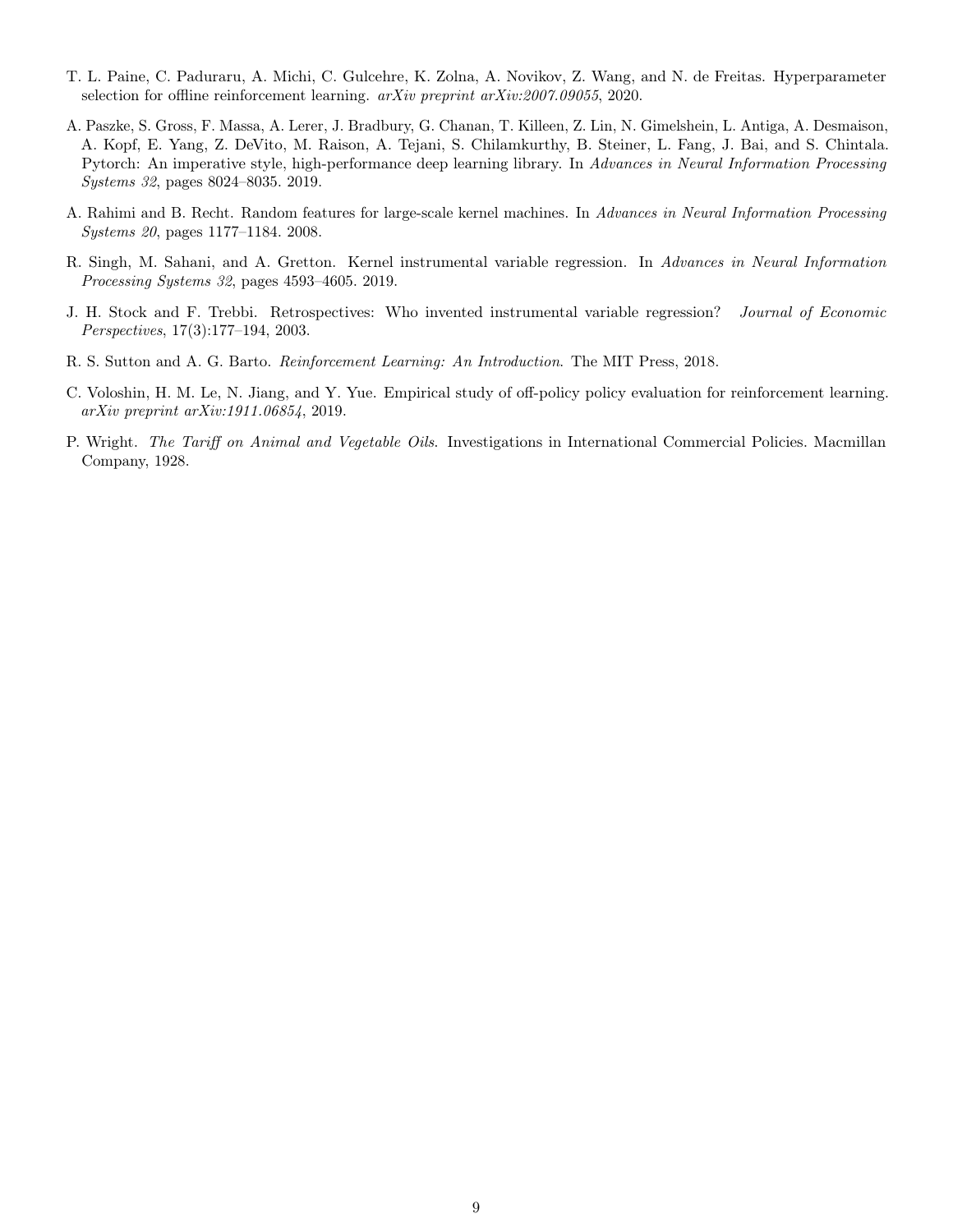- <span id="page-8-6"></span>T. L. Paine, C. Paduraru, A. Michi, C. Gulcehre, K. Zolna, A. Novikov, Z. Wang, and N. de Freitas. Hyperparameter selection for offline reinforcement learning. arXiv preprint arXiv:2007.09055, 2020.
- <span id="page-8-3"></span>A. Paszke, S. Gross, F. Massa, A. Lerer, J. Bradbury, G. Chanan, T. Killeen, Z. Lin, N. Gimelshein, L. Antiga, A. Desmaison, A. Kopf, E. Yang, Z. DeVito, M. Raison, A. Tejani, S. Chilamkurthy, B. Steiner, L. Fang, J. Bai, and S. Chintala. Pytorch: An imperative style, high-performance deep learning library. In Advances in Neural Information Processing Systems 32, pages 8024–8035. 2019.
- <span id="page-8-7"></span>A. Rahimi and B. Recht. Random features for large-scale kernel machines. In Advances in Neural Information Processing Systems 20, pages 1177–1184. 2008.
- <span id="page-8-2"></span>R. Singh, M. Sahani, and A. Gretton. Kernel instrumental variable regression. In Advances in Neural Information Processing Systems 32, pages 4593–4605. 2019.
- <span id="page-8-0"></span>J. H. Stock and F. Trebbi. Retrospectives: Who invented instrumental variable regression? Journal of Economic Perspectives, 17(3):177–194, 2003.
- <span id="page-8-4"></span>R. S. Sutton and A. G. Barto. Reinforcement Learning: An Introduction. The MIT Press, 2018.
- <span id="page-8-5"></span>C. Voloshin, H. M. Le, N. Jiang, and Y. Yue. Empirical study of off-policy policy evaluation for reinforcement learning. arXiv preprint arXiv:1911.06854, 2019.
- <span id="page-8-1"></span>P. Wright. The Tariff on Animal and Vegetable Oils. Investigations in International Commercial Policies. Macmillan Company, 1928.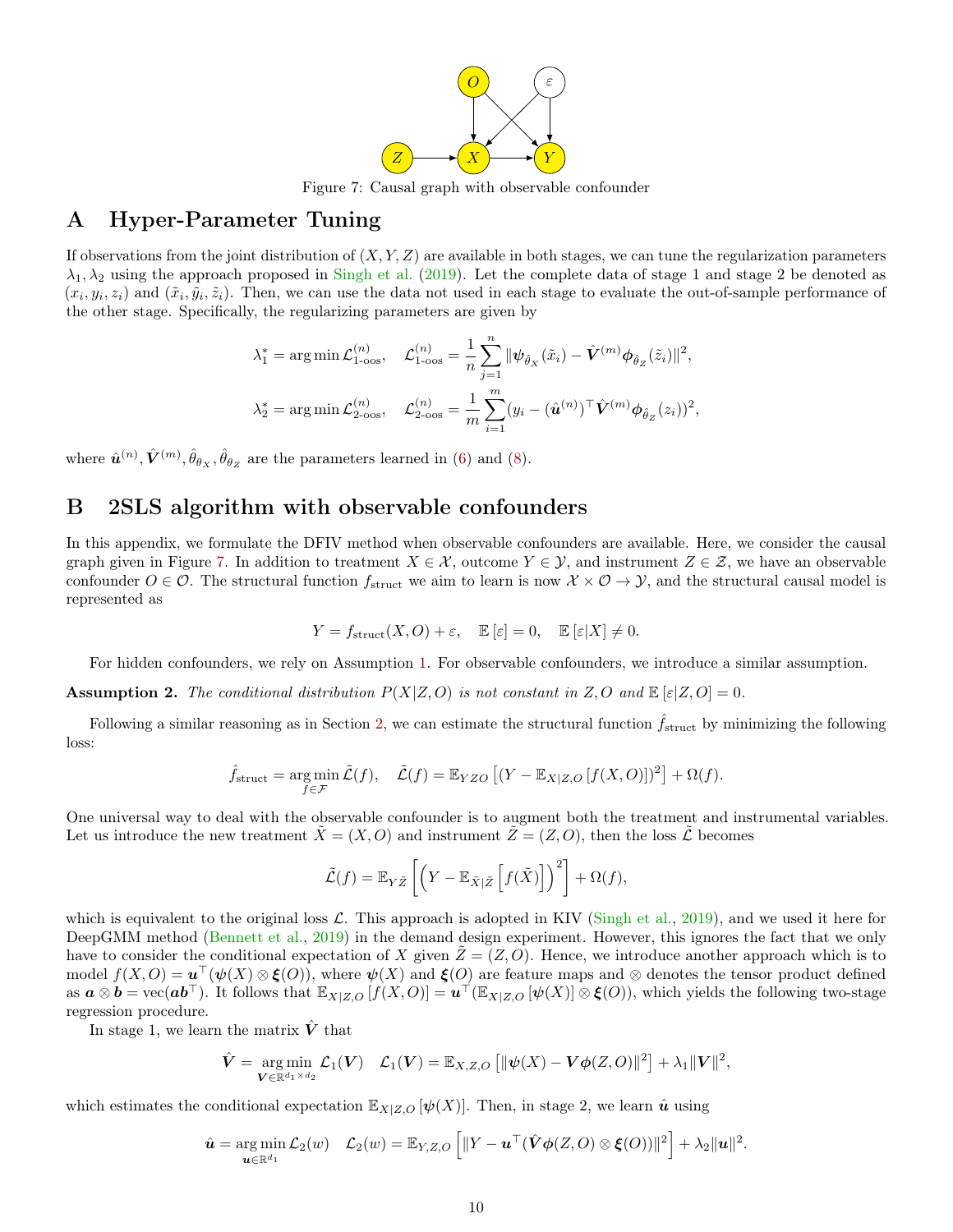<span id="page-9-2"></span>

Figure 7: Causal graph with observable confounder

### <span id="page-9-1"></span>A Hyper-Parameter Tuning

If observations from the joint distribution of  $(X, Y, Z)$  are available in both stages, we can tune the regularization parameters  $\lambda_1, \lambda_2$  using the approach proposed in [Singh et al.](#page-8-2) [\(2019\)](#page-8-2). Let the complete data of stage 1 and stage 2 be denoted as  $(x_i, y_i, z_i)$  and  $(\tilde{x}_i, \tilde{y}_i, \tilde{z}_i)$ . Then, we can use the data not used in each stage to evaluate the out-of-sample performance of the other stage. Specifically, the regularizing parameters are given by

$$
\lambda_1^* = \arg \min \mathcal{L}_{1-\cos}^{(n)}, \quad \mathcal{L}_{1-\cos}^{(n)} = \frac{1}{n} \sum_{j=1}^n \|\psi_{\hat{\theta}_X}(\tilde{x}_i) - \hat{V}^{(m)} \phi_{\hat{\theta}_Z}(\tilde{z}_i)\|^2,
$$
  

$$
\lambda_2^* = \arg \min \mathcal{L}_{2-\cos}^{(n)}, \quad \mathcal{L}_{2-\cos}^{(n)} = \frac{1}{m} \sum_{i=1}^m (y_i - (\hat{\mathbf{u}}^{(n)})^\top \hat{V}^{(m)} \phi_{\hat{\theta}_Z}(\tilde{z}_i))^2,
$$

where  $\hat{\mathbf{u}}^{(n)}, \hat{\mathbf{V}}^{(m)}, \hat{\theta}_{\theta_X}, \hat{\theta}_{\theta_Z}$  are the parameters learned in [\(6\)](#page-2-2) and [\(8\)](#page-3-0).

## <span id="page-9-0"></span>B 2SLS algorithm with observable confounders

In this appendix, we formulate the DFIV method when observable confounders are available. Here, we consider the causal graph given in Figure [7.](#page-9-2) In addition to treatment  $X \in \mathcal{X}$ , outcome  $Y \in \mathcal{Y}$ , and instrument  $Z \in \mathcal{Z}$ , we have an observable confounder  $O \in \mathcal{O}$ . The structural function  $f_{\text{struct}}$  we aim to learn is now  $\mathcal{X} \times \mathcal{O} \to \mathcal{Y}$ , and the structural causal model is represented as

$$
Y = f_{\text{struct}}(X, O) + \varepsilon, \quad \mathbb{E}[\varepsilon] = 0, \quad \mathbb{E}[\varepsilon|X] \neq 0.
$$

For hidden confounders, we rely on Assumption [1.](#page-1-1) For observable confounders, we introduce a similar assumption.

**Assumption 2.** The conditional distribution  $P(X|Z, O)$  is not constant in  $Z, O$  and  $\mathbb{E}[\varepsilon |Z, O] = 0$ .

Following a similar reasoning as in Section [2,](#page-1-0) we can estimate the structural function  $f_{\text{struct}}$  by minimizing the following loss:

$$
\hat{f}_{\text{struct}} = \underset{f \in \mathcal{F}}{\arg \min} \, \tilde{\mathcal{L}}(f), \quad \tilde{\mathcal{L}}(f) = \mathbb{E}_{YZO} \left[ (Y - \mathbb{E}_{X|Z,O} \left[ f(X,O) \right])^2 \right] + \Omega(f).
$$

One universal way to deal with the observable confounder is to augment both the treatment and instrumental variables. Let us introduce the new treatment  $\tilde{X} = (X, O)$  and instrument  $\tilde{Z} = (Z, O)$ , then the loss  $\tilde{\mathcal{L}}$  becomes

$$
\tilde{\mathcal{L}}(f) = \mathbb{E}_{Y\tilde{Z}}\left[\left(Y - \mathbb{E}_{\tilde{X}|\tilde{Z}}\left[f(\tilde{X})\right]\right)^2\right] + \Omega(f),
$$

which is equivalent to the original loss  $\mathcal{L}$ . This approach is adopted in KIV [\(Singh et al.,](#page-8-2) [2019\)](#page-8-2), and we used it here for DeepGMM method [\(Bennett et al.,](#page-7-9) [2019\)](#page-7-9) in the demand design experiment. However, this ignores the fact that we only have to consider the conditional expectation of X given  $Z = (Z, O)$ . Hence, we introduce another approach which is to model  $f(X, O) = \mathbf{u}^\top(\psi(X) \otimes \xi(O))$ , where  $\psi(X)$  and  $\xi(O)$  are feature maps and  $\otimes$  denotes the tensor product defined as  $a \otimes b = \text{vec}(\boldsymbol{a} \boldsymbol{b}^\top)$ . It follows that  $\mathbb{E}_{X|Z,O}[f(X,O)] = \boldsymbol{u}^\top(\mathbb{E}_{X|Z,O}[\psi(X)] \otimes \boldsymbol{\xi}(O))$ , which yields the following two-stage regression procedure.

In stage 1, we learn the matrix  $\hat{V}$  that

$$
\hat{\boldsymbol{V}} = \underset{\boldsymbol{V} \in \mathbb{R}^{d_1 \times d_2}}{\arg \min} \mathcal{L}_1(\boldsymbol{V}) \quad \mathcal{L}_1(\boldsymbol{V}) = \mathbb{E}_{X, Z, O}\left[ \|\boldsymbol{\psi}(X) - \boldsymbol{V}\boldsymbol{\phi}(Z, O)\|^2 \right] + \lambda_1 \|\boldsymbol{V}\|^2,
$$

which estimates the conditional expectation  $\mathbb{E}_{X|Z,O} [\psi(X)]$ . Then, in stage 2, we learn  $\hat{u}$  using

$$
\hat{\boldsymbol{u}} = \argmin_{\boldsymbol{u} \in \mathbb{R}^{d_1}} \mathcal{L}_2(w) \quad \mathcal{L}_2(w) = \mathbb{E}_{Y, Z, O}\left[\|Y - \boldsymbol{u}^\top (\hat{\boldsymbol{V}} \boldsymbol{\phi}(Z, O) \otimes \boldsymbol{\xi}(O))\|^2\right] + \lambda_2 \|\boldsymbol{u}\|^2.
$$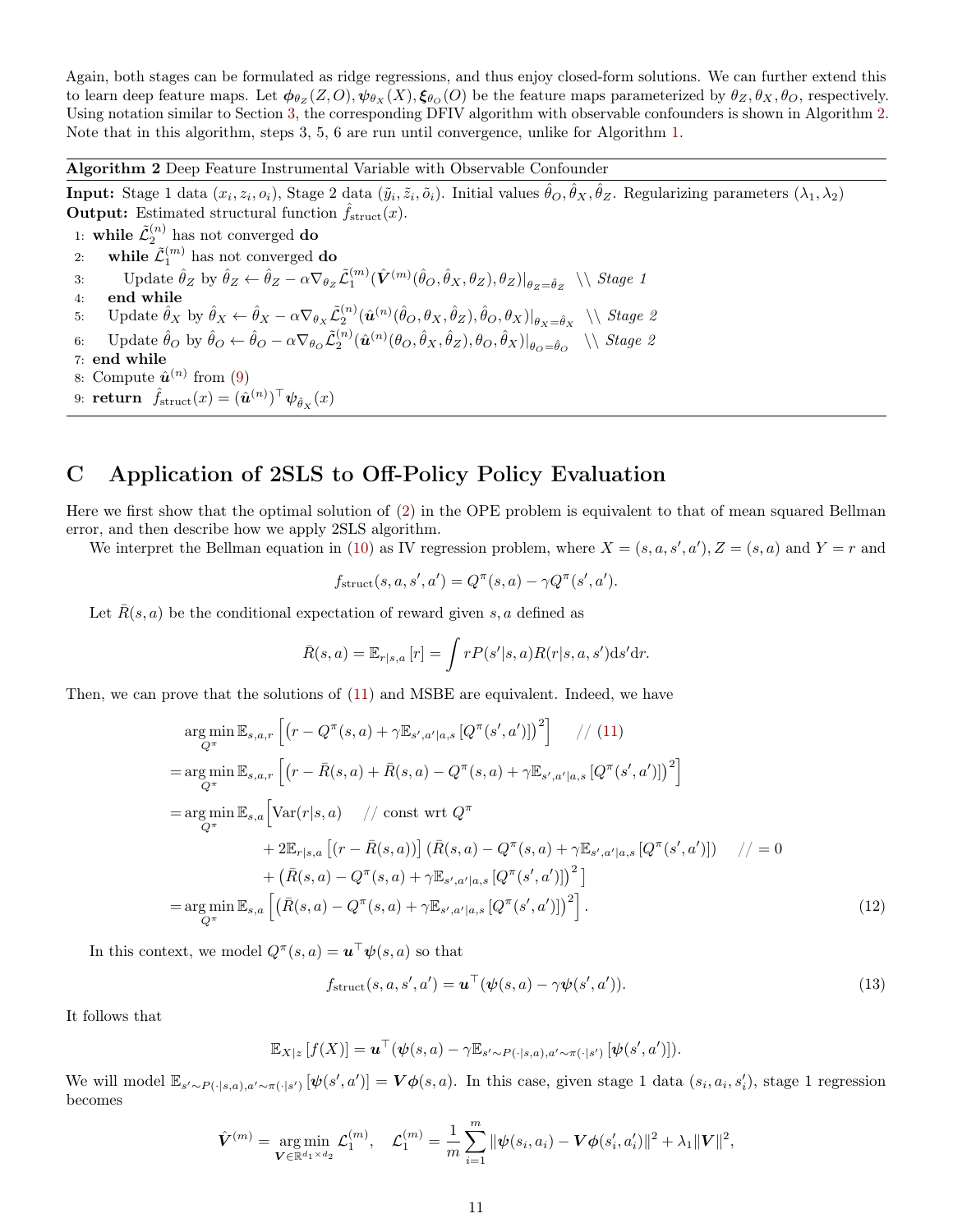Again, both stages can be formulated as ridge regressions, and thus enjoy closed-form solutions. We can further extend this to learn deep feature maps. Let  $\phi_{\theta_Z}(Z, O), \psi_{\theta_X}(X), \xi_{\theta_O}(O)$  be the feature maps parameterized by  $\theta_Z, \theta_X, \theta_O$ , respectively. Using notation similar to Section [3,](#page-2-0) the corresponding DFIV algorithm with observable confounders is shown in Algorithm [2.](#page-10-1) Note that in this algorithm, steps 3, 5, 6 are run until convergence, unlike for Algorithm [1.](#page-3-2)

Algorithm 2 Deep Feature Instrumental Variable with Observable Confounder

<span id="page-10-1"></span>**Input:** Stage 1 data  $(x_i, z_i, o_i)$ , Stage 2 data  $(\tilde{y}_i, \tilde{z}_i, \tilde{o}_i)$ . Initial values  $\hat{\theta}_O, \hat{\theta}_X, \hat{\theta}_Z$ . Regularizing parameters  $(\lambda_1, \lambda_2)$ **Output:** Estimated structural function  $\hat{f}_{struct}(x)$ .

1: while  $\tilde{\mathcal{L}}_2^{(n)}$  has not converged do 2: while  $\tilde{\mathcal{L}}_1^{(m)}$  has not converged do 3: Update  $\hat{\theta}_Z$  by  $\hat{\theta}_Z \leftarrow \hat{\theta}_Z - \alpha \nabla_{\theta_Z} \tilde{\mathcal{L}}_1^{(m)}(\hat{\mathcal{V}}^{(m)}(\hat{\theta}_O, \hat{\theta}_X, \theta_Z), \theta_Z)|_{\theta_Z = \hat{\theta}_Z} \ \setminus \ \text{Stage 1}$ 4: end while 5: Update  $\hat{\theta}_X$  by  $\hat{\theta}_X \leftarrow \hat{\theta}_X - \alpha \nabla_{\theta_X} \tilde{\mathcal{L}}_2^{(n)}(\hat{\boldsymbol{u}}^{(n)}(\hat{\theta}_O, \theta_X, \hat{\theta}_Z), \hat{\theta}_O, \theta_X)|_{\theta_X = \hat{\theta}_X} \ \setminus \ \mathcal{S}^{\text{tage 2}}$ 6: Update ˆθ<sup>O</sup> by ˆθ<sup>O</sup> ← ˆθ<sup>O</sup> − α∇<sup>θ</sup><sup>O</sup> L˜ (n) 2 (uˆ (n) (θO, ˆθX, ˆθZ), θO, ˆθX)| θO=θˆ<sup>O</sup> \\ Stage 2 7: end while 8: Compute  $\hat{\boldsymbol{u}}^{(n)}$  from [\(9\)](#page-3-1) 9: return  $\hat{f}_{\text{struct}}(x) = (\hat{\boldsymbol{u}}^{(n)})^{\top} \boldsymbol{\psi}_{\hat{\theta}_X}(x)$ 

## <span id="page-10-0"></span>C Application of 2SLS to Off-Policy Policy Evaluation

Here we first show that the optimal solution of [\(2\)](#page-2-1) in the OPE problem is equivalent to that of mean squared Bellman error, and then describe how we apply 2SLS algorithm.

We interpret the Bellman equation in [\(10\)](#page-5-3) as IV regression problem, where  $X = (s, a, s', a'), Z = (s, a)$  and  $Y = r$  and

$$
f_{\text{struct}}(s, a, s', a') = Q^{\pi}(s, a) - \gamma Q^{\pi}(s', a').
$$

Let  $\overline{R}(s, a)$  be the conditional expectation of reward given s, a defined as

$$
\bar{R}(s,a) = \mathbb{E}_{r|s,a}[r] = \int rP(s'|s,a)R(r|s,a,s')\mathrm{d} s'\mathrm{d} r.
$$

Then, we can prove that the solutions of [\(11\)](#page-6-3) and MSBE are equivalent. Indeed, we have

$$
\arg\min_{Q^{\pi}} \mathbb{E}_{s,a,r} \left[ \left( r - Q^{\pi}(s,a) + \gamma \mathbb{E}_{s',a'|a,s} \left[ Q^{\pi}(s',a') \right] \right)^{2} \right] / / (11)
$$
\n
$$
= \arg\min_{Q^{\pi}} \mathbb{E}_{s,a,r} \left[ \left( r - \bar{R}(s,a) + \bar{R}(s,a) - Q^{\pi}(s,a) + \gamma \mathbb{E}_{s',a'|a,s} \left[ Q^{\pi}(s',a') \right] \right)^{2} \right]
$$
\n
$$
= \arg\min_{Q^{\pi}} \mathbb{E}_{s,a} \left[ \text{Var}(r|s,a) / / \text{const} \text{ wrt } Q^{\pi}
$$
\n
$$
+ 2\mathbb{E}_{r|s,a} \left[ \left( r - \bar{R}(s,a) \right) \right] \left( \bar{R}(s,a) - Q^{\pi}(s,a) + \gamma \mathbb{E}_{s',a'|a,s} \left[ Q^{\pi}(s',a') \right] \right) / / = 0
$$
\n
$$
+ \left( \bar{R}(s,a) - Q^{\pi}(s,a) + \gamma \mathbb{E}_{s',a'|a,s} \left[ Q^{\pi}(s',a') \right] \right)^{2} \right]
$$
\n
$$
= \arg\min_{Q^{\pi}} \mathbb{E}_{s,a} \left[ \left( \bar{R}(s,a) - Q^{\pi}(s,a) + \gamma \mathbb{E}_{s',a'|a,s} \left[ Q^{\pi}(s',a') \right] \right)^{2} \right]. \tag{12}
$$

In this context, we model  $Q^{\pi}(s, a) = \boldsymbol{u}^{\top} \boldsymbol{\psi}(s, a)$  so that

<span id="page-10-2"></span>
$$
f_{\text{struct}}(s, a, s', a') = \boldsymbol{u}^\top (\boldsymbol{\psi}(s, a) - \gamma \boldsymbol{\psi}(s', a')). \tag{13}
$$

It follows that

$$
\mathbb{E}_{X|z}[f(X)] = \boldsymbol{u}^\top(\boldsymbol{\psi}(s,a) - \gamma \mathbb{E}_{s' \sim P(\cdot|s,a), a' \sim \pi(\cdot|s')}[\boldsymbol{\psi}(s',a')]).
$$

We will model  $\mathbb{E}_{s'\sim P(\cdot|s,a),a'\sim \pi(\cdot|s')}[\psi(s',a')] = V\phi(s,a)$ . In this case, given stage 1 data  $(s_i, a_i, s'_i)$ , stage 1 regression becomes

$$
\hat{\bm{V}}^{(m)} = \argmin_{\bm{V} \in \mathbb{R}^{d_1 \times d_2}} \mathcal{L}_1^{(m)}, \quad \mathcal{L}_1^{(m)} = \frac{1}{m} \sum_{i=1}^m \|\psi(s_i, a_i) - \bm{V}\phi(s'_i, a'_i)\|^2 + \lambda_1 \|\bm{V}\|^2,
$$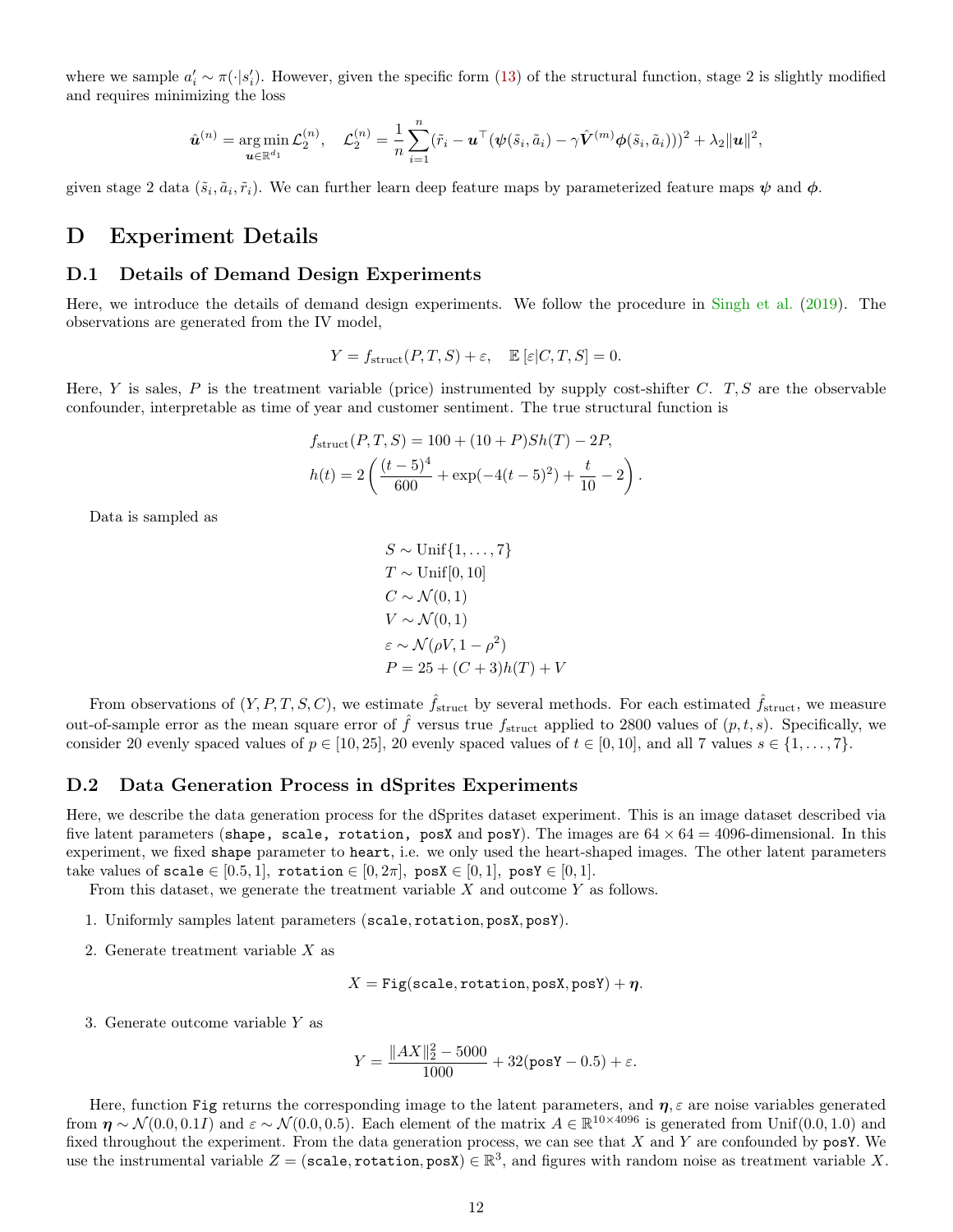where we sample  $a'_i \sim \pi(\cdot | s'_i)$ . However, given the specific form [\(13\)](#page-10-2) of the structural function, stage 2 is slightly modified and requires minimizing the loss

$$
\hat{\boldsymbol{u}}^{(n)} = \argmin_{\boldsymbol{u} \in \mathbb{R}^{d_1}} \mathcal{L}_2^{(n)}, \quad \mathcal{L}_2^{(n)} = \frac{1}{n} \sum_{i=1}^n (\tilde{r}_i - \boldsymbol{u}^\top (\boldsymbol{\psi}(\tilde{s}_i, \tilde{a}_i) - \gamma \hat{\boldsymbol{V}}^{(m)} \boldsymbol{\phi}(\tilde{s}_i, \tilde{a}_i)))^2 + \lambda_2 \|\boldsymbol{u}\|^2,
$$

given stage 2 data  $(\tilde{s}_i, \tilde{a}_i, \tilde{r}_i)$ . We can further learn deep feature maps by parameterized feature maps  $\psi$  and  $\phi$ .

### D Experiment Details

#### <span id="page-11-0"></span>D.1 Details of Demand Design Experiments

Here, we introduce the details of demand design experiments. We follow the procedure in [Singh et al.](#page-8-2) [\(2019\)](#page-8-2). The observations are generated from the IV model,

$$
Y = f_{\text{struct}}(P, T, S) + \varepsilon, \quad \mathbb{E} [\varepsilon | C, T, S] = 0.
$$

Here, Y is sales, P is the treatment variable (price) instrumented by supply cost-shifter C.  $T, S$  are the observable confounder, interpretable as time of year and customer sentiment. The true structural function is

$$
f_{\text{struct}}(P, T, S) = 100 + (10 + P)Sh(T) - 2P,
$$
  

$$
h(t) = 2\left(\frac{(t-5)^4}{600} + \exp(-4(t-5)^2) + \frac{t}{10} - 2\right).
$$

Data is sampled as

$$
S \sim \text{Unif}\{1, ..., 7\}
$$
  
\n
$$
T \sim \text{Unif}[0, 10]
$$
  
\n
$$
C \sim \mathcal{N}(0, 1)
$$
  
\n
$$
V \sim \mathcal{N}(0, 1)
$$
  
\n
$$
\varepsilon \sim \mathcal{N}(\rho V, 1 - \rho^2)
$$
  
\n
$$
P = 25 + (C + 3)h(T) + V
$$

From observations of  $(Y, P, T, S, C)$ , we estimate  $\hat{f}_{struct}$  by several methods. For each estimated  $\hat{f}_{struct}$ , we measure out-of-sample error as the mean square error of  $\hat{f}$  versus true  $f_{\text{struct}}$  applied to 2800 values of  $(p, t, s)$ . Specifically, we consider 20 evenly spaced values of  $p \in [10, 25]$ , 20 evenly spaced values of  $t \in [0, 10]$ , and all 7 values  $s \in \{1, \ldots, 7\}$ .

#### D.2 Data Generation Process in dSprites Experiments

Here, we describe the data generation process for the dSprites dataset experiment. This is an image dataset described via five latent parameters (shape, scale, rotation, posX and posY). The images are  $64 \times 64 = 4096$ -dimensional. In this experiment, we fixed shape parameter to heart, i.e. we only used the heart-shaped images. The other latent parameters take values of scale  $\in [0.5, 1]$ , rotation  $\in [0, 2\pi]$ , pos $\mathbf{X} \in [0, 1]$ , pos $\mathbf{Y} \in [0, 1]$ .

From this dataset, we generate the treatment variable X and outcome Y as follows.

- 1. Uniformly samples latent parameters (scale, rotation, posX, posY).
- 2. Generate treatment variable X as

$$
X = \mathtt{Fig}(\mathtt{scale}, \mathtt{rotation}, \mathtt{posX}, \mathtt{posY}) + \eta.
$$

<span id="page-11-1"></span>3. Generate outcome variable Y as

$$
Y = \frac{\|AX\|_2^2 - 5000}{1000} + 32(\text{posY} - 0.5) + \varepsilon.
$$

Here, function Fig returns the corresponding image to the latent parameters, and  $\eta$ ,  $\varepsilon$  are noise variables generated from  $\eta \sim \mathcal{N}(0.0, 0.1I)$  and  $\varepsilon \sim \mathcal{N}(0.0, 0.5)$ . Each element of the matrix  $A \in \mathbb{R}^{10 \times 4096}$  is generated from Unif $(0.0, 1.0)$  and fixed throughout the experiment. From the data generation process, we can see that X and Y are confounded by  $posY$ . We use the instrumental variable  $Z = (scale, rotation, posX) \in \mathbb{R}^3$ , and figures with random noise as treatment variable X.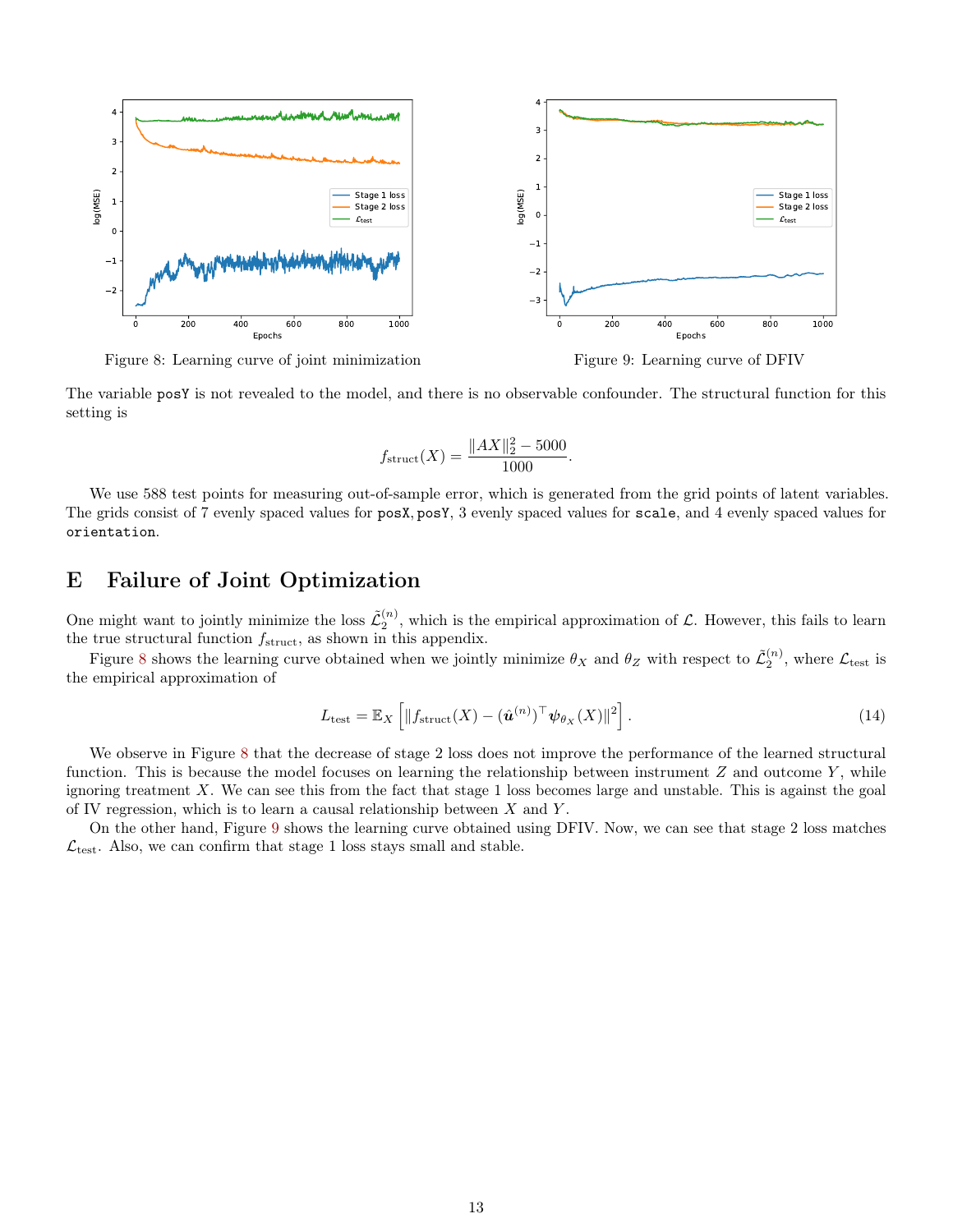

<span id="page-12-1"></span>Figure 8: Learning curve of joint minimization

<span id="page-12-2"></span>Figure 9: Learning curve of DFIV

The variable posY is not revealed to the model, and there is no observable confounder. The structural function for this setting is

$$
f_{\text{struct}}(X) = \frac{\|AX\|_2^2 - 5000}{1000}
$$

We use 588 test points for measuring out-of-sample error, which is generated from the grid points of latent variables. The grids consist of 7 evenly spaced values for posX, posY, 3 evenly spaced values for scale, and 4 evenly spaced values for orientation.

### <span id="page-12-0"></span>E Failure of Joint Optimization

One might want to jointly minimize the loss  $\tilde{\mathcal{L}}_2^{(n)}$ , which is the empirical approximation of  $\mathcal{L}$ . However, this fails to learn the true structural function  $f_{\text{struct}}$ , as shown in this appendix.

Figure [8](#page-12-1) shows the learning curve obtained when we jointly minimize  $\theta_X$  and  $\theta_Z$  with respect to  $\tilde{\mathcal{L}}_2^{(n)}$ , where  $\mathcal{L}_{\text{test}}$  is the empirical approximation of

$$
L_{\text{test}} = \mathbb{E}_X \left[ \| f_{\text{struct}}(X) - (\hat{\boldsymbol{u}}^{(n)})^\top \boldsymbol{\psi}_{\theta_X}(X) \|^2 \right]. \tag{14}
$$

.

We observe in Figure [8](#page-12-1) that the decrease of stage 2 loss does not improve the performance of the learned structural function. This is because the model focuses on learning the relationship between instrument  $Z$  and outcome  $Y$ , while ignoring treatment  $X$ . We can see this from the fact that stage 1 loss becomes large and unstable. This is against the goal of IV regression, which is to learn a causal relationship between  $X$  and  $Y$ .

On the other hand, Figure [9](#page-12-2) shows the learning curve obtained using DFIV. Now, we can see that stage 2 loss matches  $\mathcal{L}_{\text{test}}$ . Also, we can confirm that stage 1 loss stays small and stable.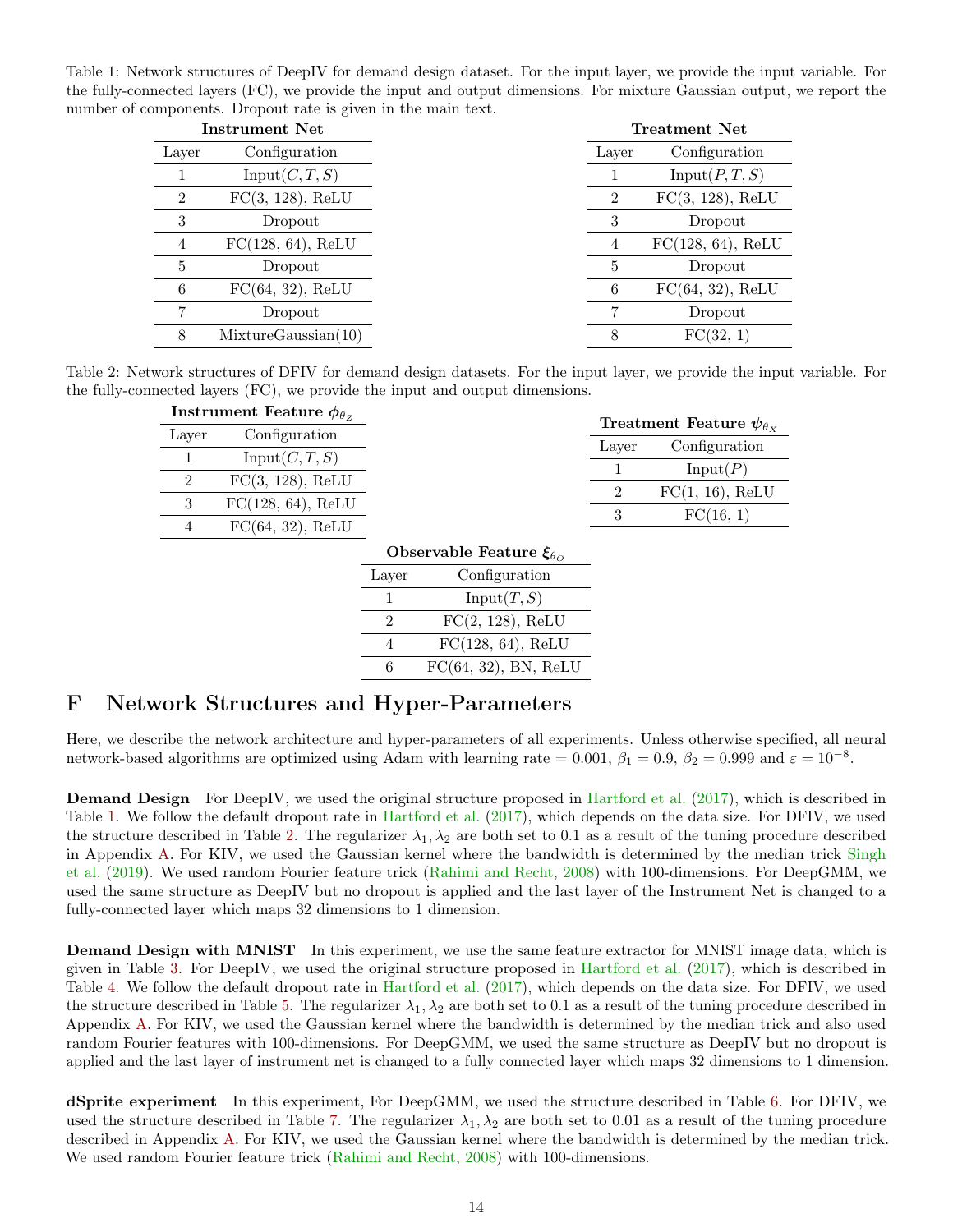<span id="page-13-1"></span>Table 1: Network structures of DeepIV for demand design dataset. For the input layer, we provide the input variable. For the fully-connected layers (FC), we provide the input and output dimensions. For mixture Gaussian output, we report the number of components. Dropout rate is given in the main text.

| <b>Instrument Net</b> |                     |                | <b>Treatment Net</b> |
|-----------------------|---------------------|----------------|----------------------|
| Layer                 | Configuration       | Layer          | Configuration        |
|                       | Input(C, T, S)      |                | Input(P, T, S)       |
| $\mathfrak{D}$        | $FC(3, 128)$ , ReLU | $\mathfrak{D}$ | $FC(3, 128)$ , ReLU  |
| 3                     | Dropout             | 3              | Dropout              |
| 4                     | FC(128, 64), ReLU   | 4              | $FC(128, 64)$ , ReLU |
| 5                     | Dropout             | 5              | Dropout              |
| 6                     | $FC(64, 32)$ , ReLU | 6              | $FC(64, 32)$ , ReLU  |
|                       | Dropout             |                | Dropout              |
| 8                     | MixtureGaussian(10) | 8              | FC(32, 1)            |

<span id="page-13-2"></span>Table 2: Network structures of DFIV for demand design datasets. For the input layer, we provide the input variable. For the fully-connected layers (FC), we provide the input and output dimensions.

| Instrument Feature $\phi_{\theta z}$ |                      |          | Treatment Feature $\psi_{\theta_x}$ |
|--------------------------------------|----------------------|----------|-------------------------------------|
| Laver                                | Configuration        |          | Configuration                       |
|                                      | Input(C, T, S)       | Laver    |                                     |
| $\overline{2}$                       | $FC(3, 128)$ , ReLU  | $\Omega$ | Input(P)                            |
| 3                                    | $FC(128, 64)$ , ReLU |          | $FC(1, 16)$ , ReLU                  |
|                                      | $FC(64, 32)$ , ReLU  |          | FC(16, 1)                           |

| Observable Feature $\xi_{\theta_{\Omega}}$ |                         |  |  |
|--------------------------------------------|-------------------------|--|--|
| Configuration<br>Layer                     |                         |  |  |
|                                            | Input(T, S)             |  |  |
| 2                                          | $FC(2, 128)$ , ReLU     |  |  |
|                                            | FC(128, 64), ReLU       |  |  |
| б                                          | $FC(64, 32)$ , BN, ReLU |  |  |

### <span id="page-13-0"></span>F Network Structures and Hyper-Parameters

Here, we describe the network architecture and hyper-parameters of all experiments. Unless otherwise specified, all neural network-based algorithms are optimized using Adam with learning rate = 0.001,  $\beta_1 = 0.9$ ,  $\beta_2 = 0.999$  and  $\varepsilon = 10^{-8}$ .

**Demand Design** For DeepIV, we used the original structure proposed in [Hartford et al.](#page-7-7) [\(2017\)](#page-7-7), which is described in Table [1.](#page-13-1) We follow the default dropout rate in [Hartford et al.](#page-7-7) [\(2017\)](#page-7-7), which depends on the data size. For DFIV, we used the structure described in Table [2.](#page-13-2) The regularizer  $\lambda_1, \lambda_2$  are both set to 0.1 as a result of the tuning procedure described in Appendix [A.](#page-9-1) For KIV, we used the Gaussian kernel where the bandwidth is determined by the median trick [Singh](#page-8-2) [et al.](#page-8-2) [\(2019\)](#page-8-2). We used random Fourier feature trick [\(Rahimi and Recht,](#page-8-7) [2008\)](#page-8-7) with 100-dimensions. For DeepGMM, we used the same structure as DeepIV but no dropout is applied and the last layer of the Instrument Net is changed to a fully-connected layer which maps 32 dimensions to 1 dimension.

Demand Design with MNIST In this experiment, we use the same feature extractor for MNIST image data, which is given in Table [3.](#page-14-0) For DeepIV, we used the original structure proposed in [Hartford et al.](#page-7-7) [\(2017\)](#page-7-7), which is described in Table [4.](#page-14-1) We follow the default dropout rate in [Hartford et al.](#page-7-7) [\(2017\)](#page-7-7), which depends on the data size. For DFIV, we used the structure described in Table [5.](#page-15-0) The regularizer  $\lambda_1, \lambda_2$  are both set to 0.1 as a result of the tuning procedure described in Appendix [A.](#page-9-1) For KIV, we used the Gaussian kernel where the bandwidth is determined by the median trick and also used random Fourier features with 100-dimensions. For DeepGMM, we used the same structure as DeepIV but no dropout is applied and the last layer of instrument net is changed to a fully connected layer which maps 32 dimensions to 1 dimension.

dSprite experiment In this experiment, For DeepGMM, we used the structure described in Table [6.](#page-15-1) For DFIV, we used the structure described in Table [7.](#page-15-2) The regularizer  $\lambda_1, \lambda_2$  are both set to 0.01 as a result of the tuning procedure described in Appendix [A.](#page-9-1) For KIV, we used the Gaussian kernel where the bandwidth is determined by the median trick. We used random Fourier feature trick [\(Rahimi and Recht,](#page-8-7) [2008\)](#page-8-7) with 100-dimensions.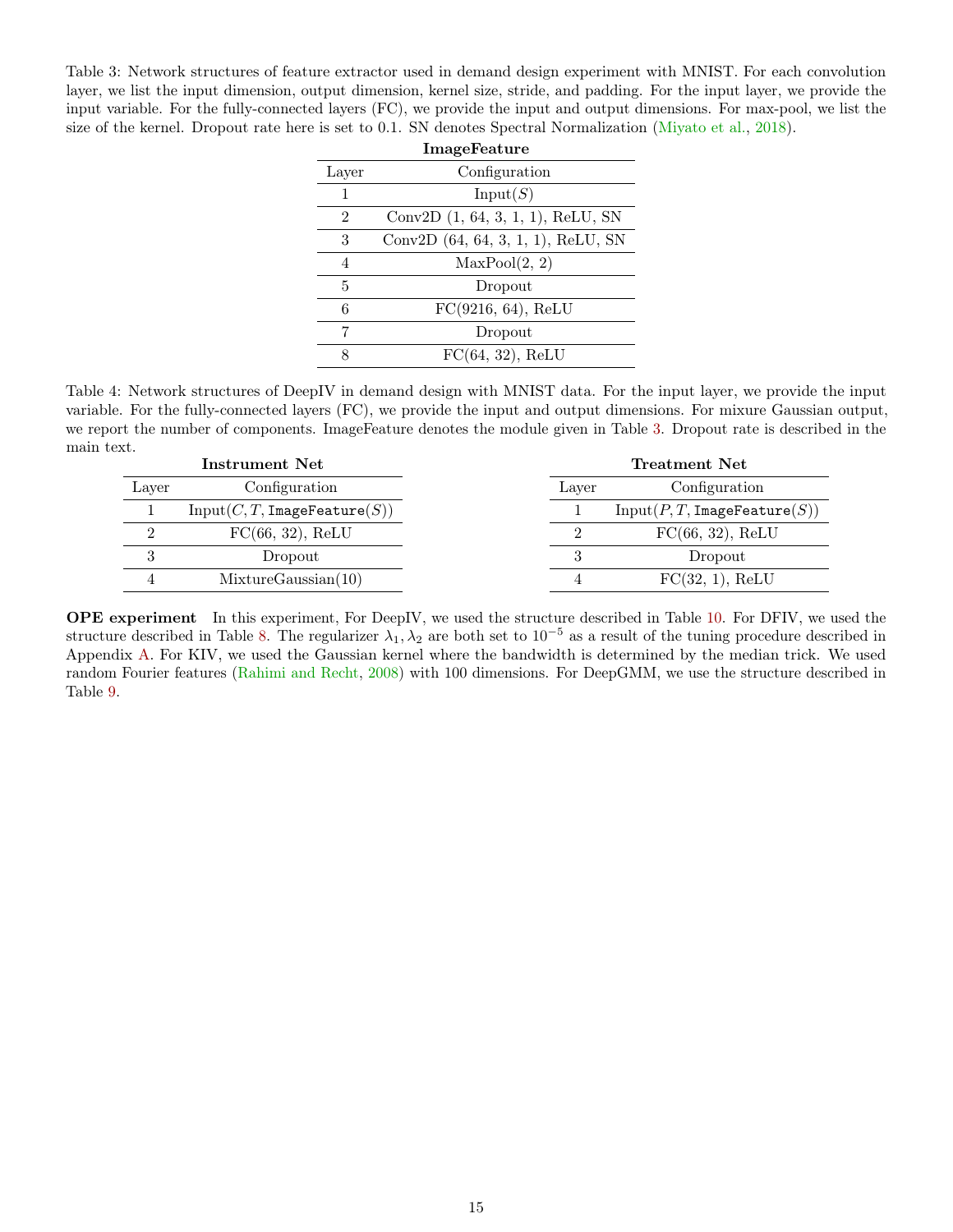<span id="page-14-0"></span>Table 3: Network structures of feature extractor used in demand design experiment with MNIST. For each convolution layer, we list the input dimension, output dimension, kernel size, stride, and padding. For the input layer, we provide the input variable. For the fully-connected layers (FC), we provide the input and output dimensions. For max-pool, we list the size of the kernel. Dropout rate here is set to 0.1. SN denotes Spectral Normalization [\(Miyato et al.,](#page-7-21) [2018\)](#page-7-21).

| ImageFeature   |                                      |  |  |
|----------------|--------------------------------------|--|--|
| Layer          | Configuration                        |  |  |
| 1              | Input(S)                             |  |  |
| $\overline{2}$ | Conv2D $(1, 64, 3, 1, 1)$ , ReLU, SN |  |  |
| 3              | Conv2D (64, 64, 3, 1, 1), ReLU, SN   |  |  |
| 4              | MaxPool(2, 2)                        |  |  |
| 5              | Dropout                              |  |  |
| 6              | $FC(9216, 64)$ , ReLU                |  |  |
| 7              | Dropout                              |  |  |
| 8              | $FC(64, 32)$ , ReLU                  |  |  |

<span id="page-14-1"></span>Table 4: Network structures of DeepIV in demand design with MNIST data. For the input layer, we provide the input variable. For the fully-connected layers (FC), we provide the input and output dimensions. For mixure Gaussian output, we report the number of components. ImageFeature denotes the module given in Table [3.](#page-14-0) Dropout rate is described in the main text.

| Instrument Net |                              |       | <b>Treatment Net</b>         |
|----------------|------------------------------|-------|------------------------------|
| Layer          | Configuration                | Layer | Configuration                |
|                | Input(C, T, ImageFeature(S)) |       | Input(P, T, ImageFeature(S)) |
|                | $FC(66, 32)$ , ReLU          |       | FC(66, 32), ReLU             |
|                | Dropout                      |       | Dropout                      |
|                | MixtureGaussian(10)          |       | FC(32, 1), ReLU              |

OPE experiment In this experiment, For DeepIV, we used the structure described in Table [10.](#page-16-0) For DFIV, we used the structure described in Table [8.](#page-15-3) The regularizer  $\lambda_1, \lambda_2$  are both set to 10<sup>-5</sup> as a result of the tuning procedure described in Appendix [A.](#page-9-1) For KIV, we used the Gaussian kernel where the bandwidth is determined by the median trick. We used random Fourier features [\(Rahimi and Recht,](#page-8-7) [2008\)](#page-8-7) with 100 dimensions. For DeepGMM, we use the structure described in Table [9.](#page-16-1)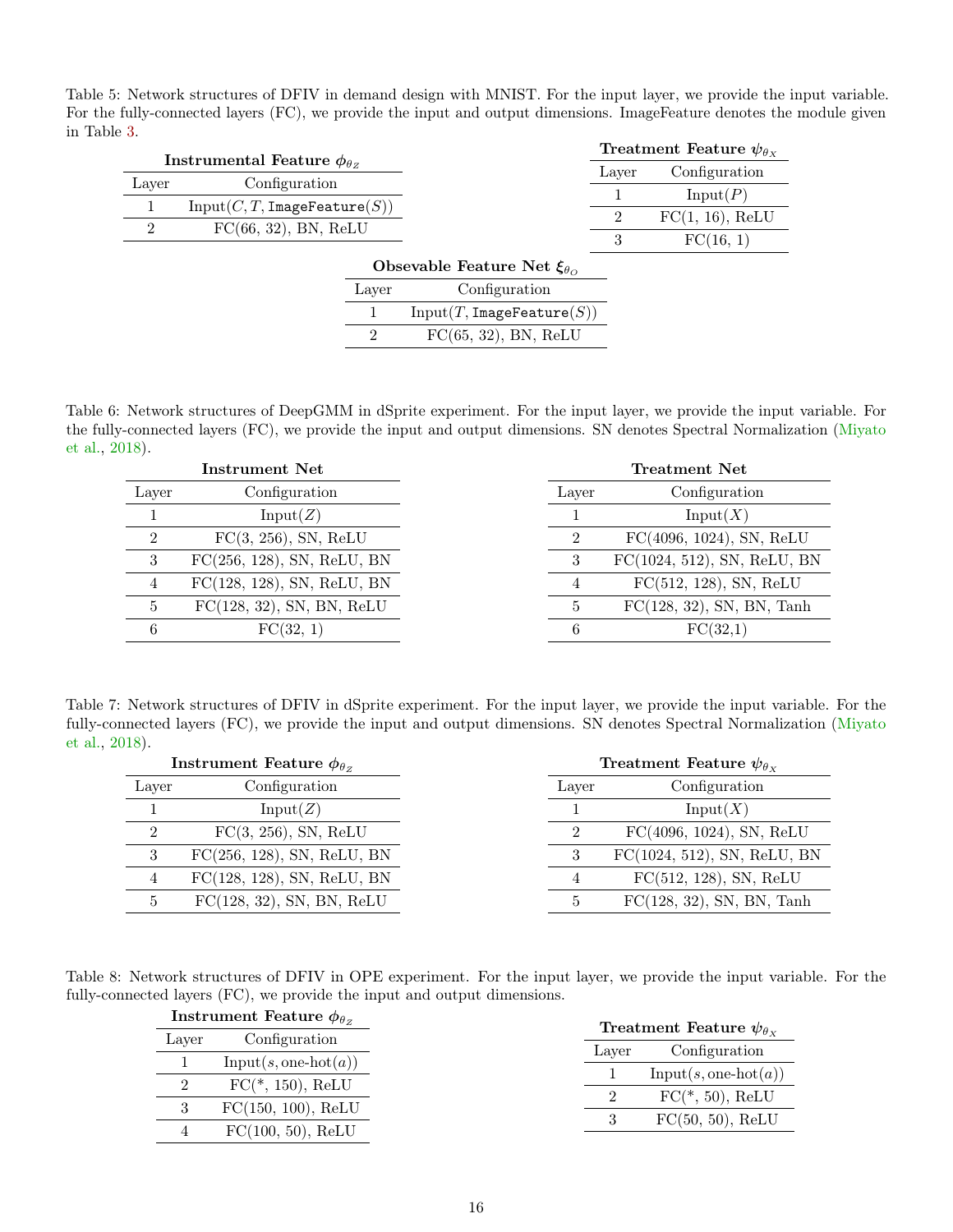<span id="page-15-0"></span>Table 5: Network structures of DFIV in demand design with MNIST. For the input layer, we provide the input variable. For the fully-connected layers (FC), we provide the input and output dimensions. ImageFeature denotes the module given in Table [3.](#page-14-0)

|                | Instrumental Feature $\phi_{\theta z}$ |                |                                               |       | Treatment Feature $\psi_{\theta_x}$ |
|----------------|----------------------------------------|----------------|-----------------------------------------------|-------|-------------------------------------|
|                |                                        |                |                                               | Layer | Configuration                       |
| Layer          | Configuration                          |                |                                               |       | Input(P)                            |
|                | Input(C, T, ImageFeature(S))           |                |                                               | 2     | $FC(1, 16)$ , ReLU                  |
| $\overline{2}$ | $FC(66, 32)$ , BN, ReLU                |                |                                               | 3     | FC(16, 1)                           |
|                |                                        |                |                                               |       |                                     |
|                |                                        |                | Obsevable Feature Net $\xi_{\theta_{\Omega}}$ |       |                                     |
|                |                                        | Layer          | Configuration                                 |       |                                     |
|                |                                        |                | Input(T, ImageFeature(S))                     |       |                                     |
|                |                                        | $\overline{2}$ | $FC(65, 32)$ , BN, ReLU                       |       |                                     |
|                |                                        |                |                                               |       |                                     |

<span id="page-15-1"></span>Table 6: Network structures of DeepGMM in dSprite experiment. For the input layer, we provide the input variable. For the fully-connected layers (FC), we provide the input and output dimensions. SN denotes Spectral Normalization [\(Miyato](#page-7-21) [et al.,](#page-7-21) [2018\)](#page-7-21).

| <b>Instrument Net</b> |                               |       | <b>Treatment Net</b>         |  |
|-----------------------|-------------------------------|-------|------------------------------|--|
| Laver                 | Configuration                 | Layer | Configuration                |  |
|                       | Input(Z)                      |       | Input(X)                     |  |
| 2                     | $FC(3, 256)$ , SN, ReLU       |       | $FC(4096, 1024)$ , SN, ReLU  |  |
| 3                     | $FC(256, 128)$ , SN, ReLU, BN |       | FC(1024, 512), SN, ReLU, BN  |  |
| 4                     | $FC(128, 128)$ , SN, ReLU, BN |       | $FC(512, 128)$ , SN, ReLU    |  |
| 5                     | $FC(128, 32)$ , SN, BN, ReLU  | 5     | $FC(128, 32)$ , SN, BN, Tanh |  |
| 6                     | FC(32, 1)                     | 6     | FC(32,1)                     |  |

<span id="page-15-2"></span>Table 7: Network structures of DFIV in dSprite experiment. For the input layer, we provide the input variable. For the fully-connected layers (FC), we provide the input and output dimensions. SN denotes Spectral Normalization [\(Miyato](#page-7-21) [et al.,](#page-7-21) [2018\)](#page-7-21).

| Instrument Feature $\phi_{\theta z}$ |                               |       | Treatment Feature $\psi_{\theta_x}$ |  |
|--------------------------------------|-------------------------------|-------|-------------------------------------|--|
| Layer                                | Configuration                 | Layer | Configuration                       |  |
|                                      | Input(Z)                      |       | Input(X)                            |  |
| 2                                    | $FC(3, 256)$ , SN, ReLU       | 9     | $FC(4096, 1024)$ , SN, ReLU         |  |
| 3                                    | $FC(256, 128)$ , SN, ReLU, BN |       | FC(1024, 512), SN, ReLU, BN         |  |
|                                      | $FC(128, 128)$ , SN, ReLU, BN |       | FC(512, 128), SN, ReLU              |  |
|                                      | $FC(128, 32)$ , SN, BN, ReLU  |       | FC(128, 32), SN, BN, Tanh           |  |

<span id="page-15-3"></span>Table 8: Network structures of DFIV in OPE experiment. For the input layer, we provide the input variable. For the fully-connected layers (FC), we provide the input and output dimensions.

| Instrument Feature $\phi_{\theta z}$ |                        |       | Treatment Feature $\psi_{\theta_x}$ |
|--------------------------------------|------------------------|-------|-------------------------------------|
| Laver                                | Configuration          |       |                                     |
|                                      | $Input(s, one-hot(a))$ | Laver | Configuration                       |
| $\mathcal{D}$                        | $FC(*, 150), ReLU$     |       | $Input(s, one-hot(a))$              |
|                                      | $FC(150, 100)$ , ReLU  |       | $FC(*, 50), ReLU$                   |
|                                      | FC(100, 50), ReLU      |       | FC(50, 50), ReLU                    |